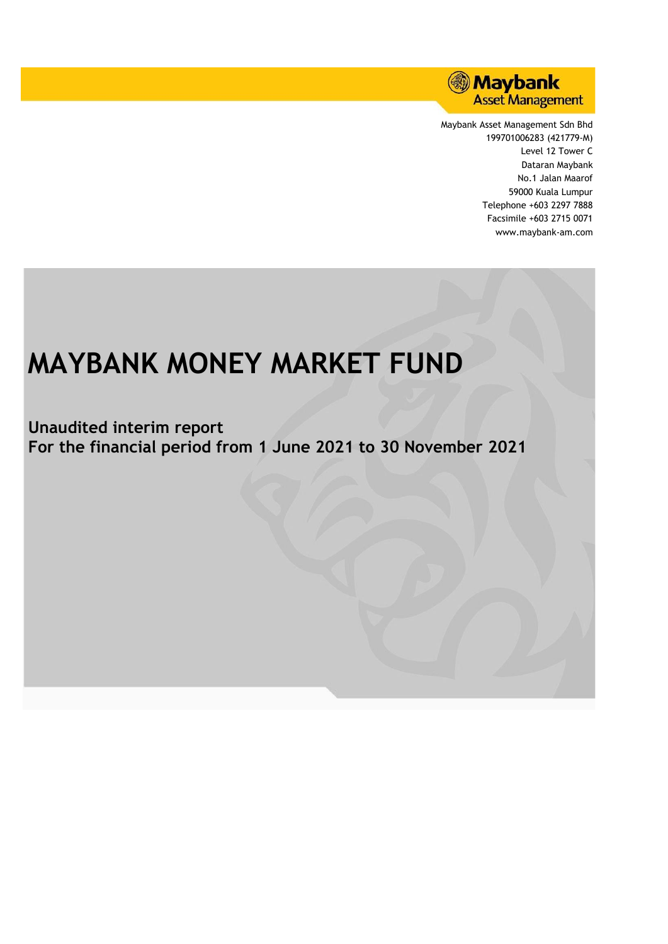

Maybank Asset Management Sdn Bhd 199701006283 (421779-M) Level 12 Tower C Dataran Maybank No.1 Jalan Maarof 59000 Kuala Lumpur Telephone +603 2297 7888 Facsimile +603 2715 0071 www.maybank-am.com

# **MAYBANK MONEY MARKET FUND**

**Unaudited interim report For the financial period from 1 June 2021 to 30 November 2021**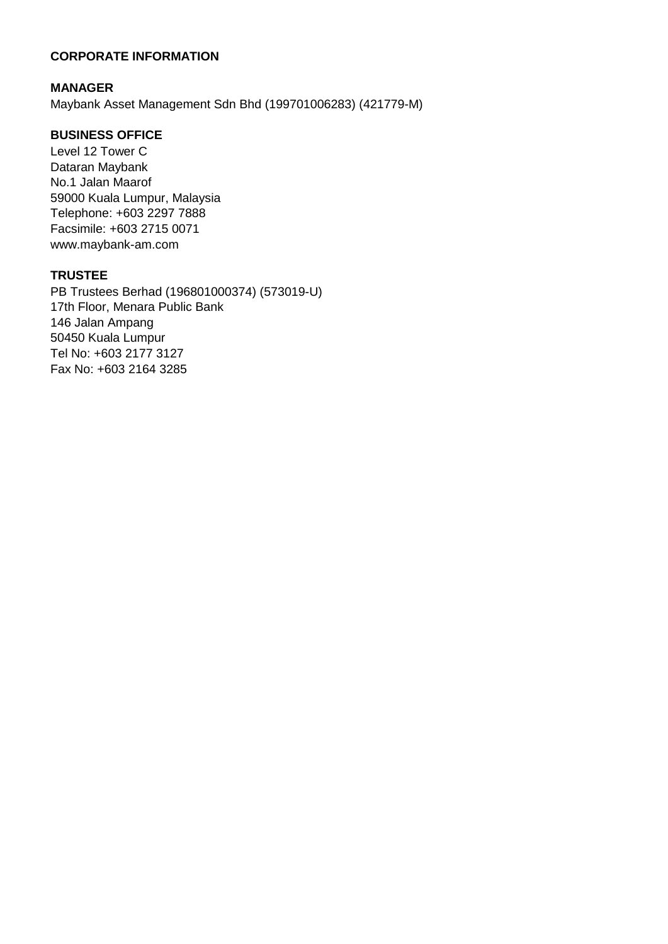# **CORPORATE INFORMATION**

# **MANAGER**

Maybank Asset Management Sdn Bhd (199701006283) (421779-M)

# **BUSINESS OFFICE**

Level 12 Tower C Dataran Maybank No.1 Jalan Maarof 59000 Kuala Lumpur, Malaysia Telephone: +603 2297 7888 Facsimile: +603 2715 0071 www.maybank-am.com

# **TRUSTEE**

PB Trustees Berhad (196801000374) (573019-U) 17th Floor, Menara Public Bank 146 Jalan Ampang 50450 Kuala Lumpur Tel No: +603 2177 3127 Fax No: +603 2164 3285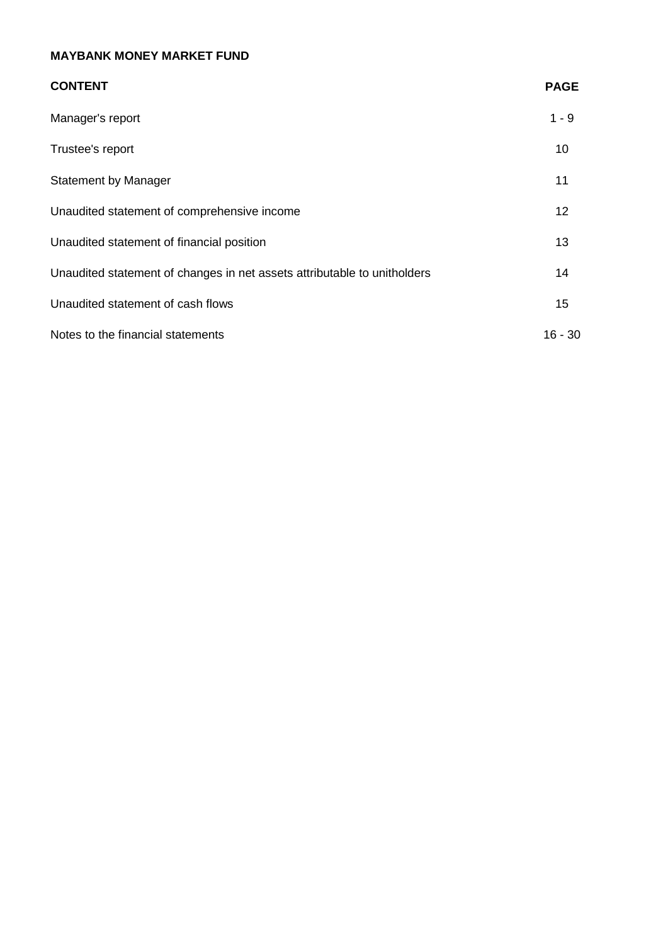| <b>CONTENT</b>                                                           | <b>PAGE</b> |
|--------------------------------------------------------------------------|-------------|
| Manager's report                                                         | $1 - 9$     |
| Trustee's report                                                         | 10          |
| <b>Statement by Manager</b>                                              | 11          |
| Unaudited statement of comprehensive income                              | 12          |
| Unaudited statement of financial position                                | 13          |
| Unaudited statement of changes in net assets attributable to unitholders | 14          |
| Unaudited statement of cash flows                                        | 15          |
| Notes to the financial statements                                        | $16 - 30$   |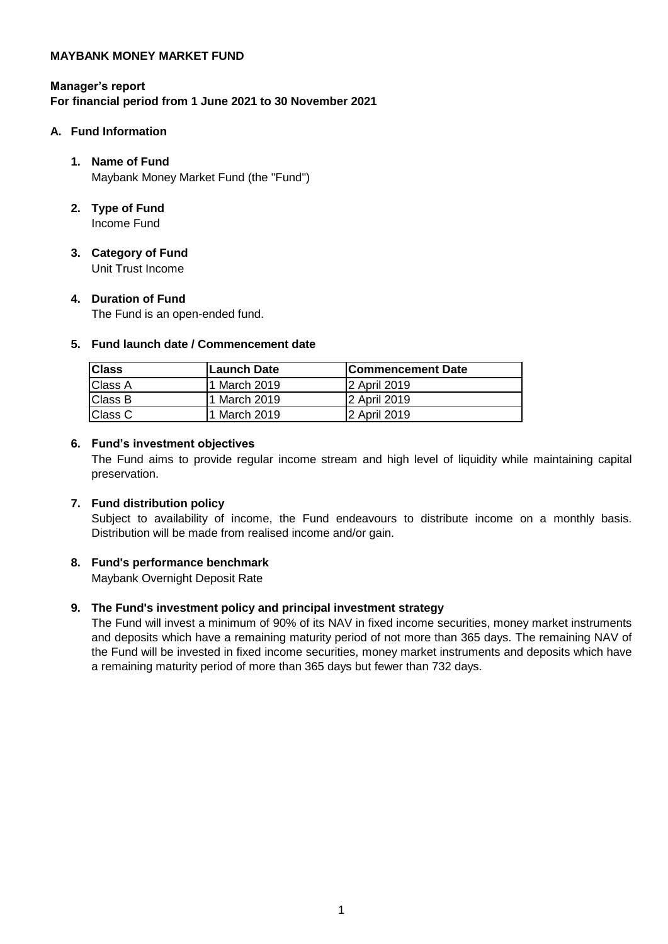# **Manager's report For financial period from 1 June 2021 to 30 November 2021**

# **A. Fund Information**

# **1. Name of Fund** Maybank Money Market Fund (the "Fund")

- **2. Type of Fund** Income Fund
- **3. Category of Fund** Unit Trust Income

# **4. Duration of Fund**

The Fund is an open-ended fund.

# **5. Fund launch date / Commencement date**

| <b>Class</b>   | Launch Date  | lCommencement Date |
|----------------|--------------|--------------------|
| <b>Class A</b> | 1 March 2019 | 2 April 2019       |
| <b>Class B</b> | 1 March 2019 | I2 April 2019      |
| <b>Class C</b> | 1 March 2019 | 2 April 2019       |

# **6. Fund's investment objectives**

The Fund aims to provide regular income stream and high level of liquidity while maintaining capital preservation.

# **7. Fund distribution policy**

Subject to availability of income, the Fund endeavours to distribute income on a monthly basis. Distribution will be made from realised income and/or gain.

# **8. Fund's performance benchmark**

Maybank Overnight Deposit Rate

# **9. The Fund's investment policy and principal investment strategy**

The Fund will invest a minimum of 90% of its NAV in fixed income securities, money market instruments and deposits which have a remaining maturity period of not more than 365 days. The remaining NAV of the Fund will be invested in fixed income securities, money market instruments and deposits which have a remaining maturity period of more than 365 days but fewer than 732 days.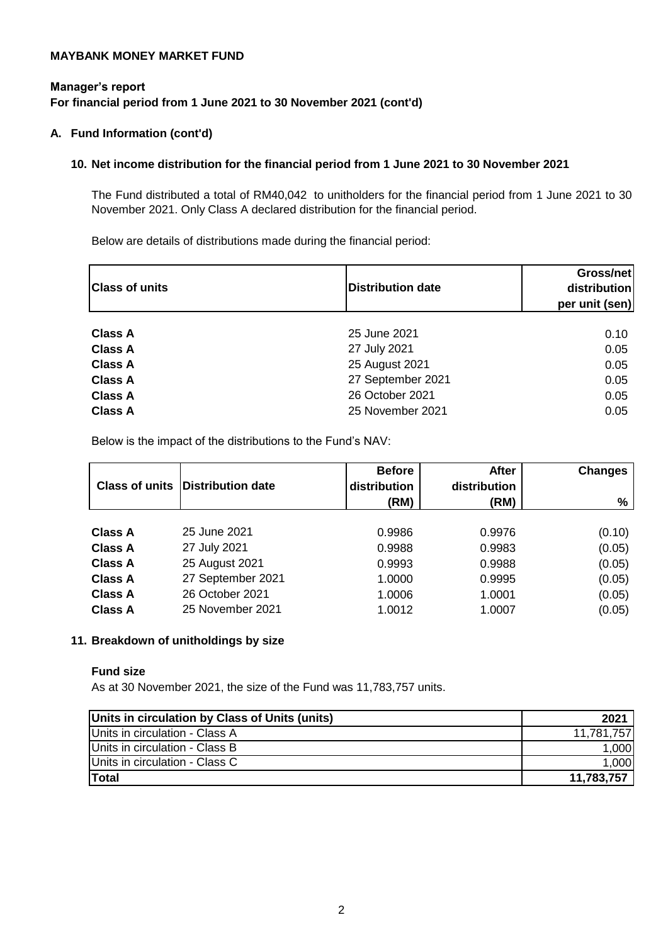# **Manager's report For financial period from 1 June 2021 to 30 November 2021 (cont'd)**

# **A. Fund Information (cont'd)**

# **10. Net income distribution for the financial period from 1 June 2021 to 30 November 2021**

The Fund distributed a total of RM40,042 to unitholders for the financial period from 1 June 2021 to 30 November 2021. Only Class A declared distribution for the financial period.

Below are details of distributions made during the financial period:

| <b>Class of units</b> | <b>Distribution date</b> | Gross/net<br>distribution<br>per unit (sen) |
|-----------------------|--------------------------|---------------------------------------------|
|                       |                          |                                             |
| <b>Class A</b>        | 25 June 2021             | 0.10                                        |
| <b>Class A</b>        | 27 July 2021             | 0.05                                        |
| <b>Class A</b>        | 25 August 2021           | 0.05                                        |
| <b>Class A</b>        | 27 September 2021        | 0.05                                        |
| <b>Class A</b>        | 26 October 2021          | 0.05                                        |
| <b>Class A</b>        | 25 November 2021         | 0.05                                        |

Below is the impact of the distributions to the Fund's NAV:

| <b>Class of units</b> | Distribution date | <b>Before</b><br>distribution<br>(RM) | <b>After</b><br>distribution<br>(RM) | <b>Changes</b><br>% |
|-----------------------|-------------------|---------------------------------------|--------------------------------------|---------------------|
|                       |                   |                                       |                                      |                     |
| <b>Class A</b>        | 25 June 2021      | 0.9986                                | 0.9976                               | (0.10)              |
| <b>Class A</b>        | 27 July 2021      | 0.9988                                | 0.9983                               | (0.05)              |
| <b>Class A</b>        | 25 August 2021    | 0.9993                                | 0.9988                               | (0.05)              |
| <b>Class A</b>        | 27 September 2021 | 1.0000                                | 0.9995                               | (0.05)              |
| <b>Class A</b>        | 26 October 2021   | 1.0006                                | 1.0001                               | (0.05)              |
| <b>Class A</b>        | 25 November 2021  | 1.0012                                | 1.0007                               | (0.05)              |

# **11. Breakdown of unitholdings by size**

### **Fund size**

As at 30 November 2021, the size of the Fund was 11,783,757 units.

| Units in circulation by Class of Units (units) | 2021       |
|------------------------------------------------|------------|
| Units in circulation - Class A                 | 11,781,757 |
| Units in circulation - Class B                 | 1,000      |
| Units in circulation - Class C                 | 1,000      |
| <b>Total</b>                                   | 11,783,757 |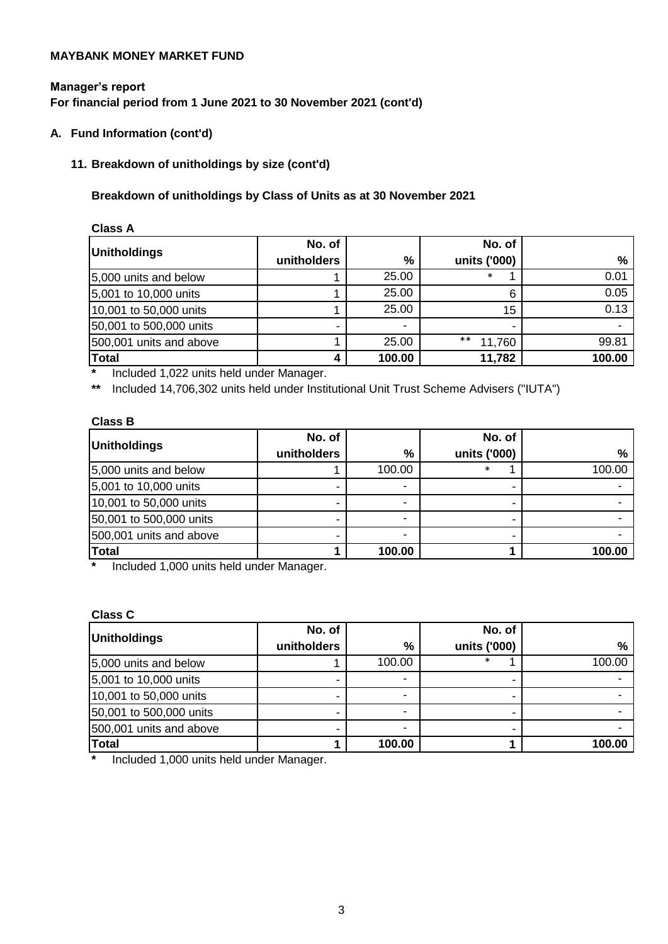# **Manager's report For financial period from 1 June 2021 to 30 November 2021 (cont'd)**

**A. Fund Information (cont'd)**

# **11. Breakdown of unitholdings by size (cont'd)**

# **Breakdown of unitholdings by Class of Units as at 30 November 2021**

| <b>Class A</b>          |             |        |              |        |
|-------------------------|-------------|--------|--------------|--------|
| Unitholdings            | No. of      |        | No. of       |        |
|                         | unitholders | %      | units ('000) | %      |
| 5,000 units and below   |             | 25.00  | $\ast$       | 0.01   |
| 5,001 to 10,000 units   |             | 25.00  | 6            | 0.05   |
| 10,001 to 50,000 units  |             | 25.00  | 15           | 0.13   |
| 50,001 to 500,000 units | -           | ۰      |              |        |
| 500,001 units and above |             | 25.00  | **<br>11,760 | 99.81  |
| <b>Total</b>            | 4           | 100.00 | 11,782       | 100.00 |

**\*** Included 1,022 units held under Manager.

**\*\*** Included 14,706,302 units held under Institutional Unit Trust Scheme Advisers ("IUTA")

# **Class B**

|                         | No. of      |        | No. of       |        |
|-------------------------|-------------|--------|--------------|--------|
| Unitholdings            | unitholders | %      | units ('000) | %      |
| 5,000 units and below   |             | 100.00 | ∗            | 100.00 |
| 5,001 to 10,000 units   |             |        |              |        |
| 10,001 to 50,000 units  |             |        |              |        |
| 50,001 to 500,000 units |             |        |              |        |
| 500,001 units and above |             |        |              |        |
| <b>Total</b>            |             | 100.00 |              | 100.00 |

**\*** Included 1,000 units held under Manager.

#### **Class C**

| Unitholdings            | No. of      |        | No. of       |               |
|-------------------------|-------------|--------|--------------|---------------|
|                         | unitholders | %      | units ('000) | $\frac{0}{0}$ |
| 5,000 units and below   |             | 100.00 | $\ast$       | 100.00        |
| 5,001 to 10,000 units   |             | -      |              |               |
| 10,001 to 50,000 units  |             | -      |              |               |
| 50,001 to 500,000 units |             |        |              |               |
| 500,001 units and above |             |        |              |               |
| <b>Total</b>            |             | 100.00 |              | 100.00        |

**\*** Included 1,000 units held under Manager.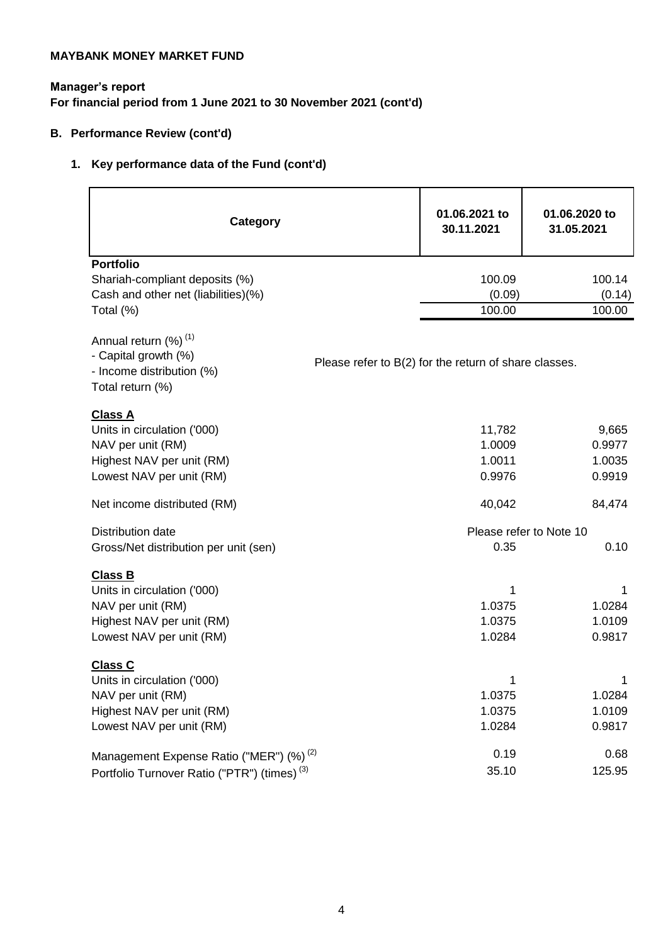# **Manager's report For financial period from 1 June 2021 to 30 November 2021 (cont'd)**

# **B. Performance Review (cont'd)**

# **1. Key performance data of the Fund (cont'd)**

| <b>Category</b>                                                                                                             |                                                       | 01.06.2021 to<br>30.11.2021          | 01.06.2020 to<br>31.05.2021         |
|-----------------------------------------------------------------------------------------------------------------------------|-------------------------------------------------------|--------------------------------------|-------------------------------------|
| <b>Portfolio</b><br>Shariah-compliant deposits (%)<br>Cash and other net (liabilities)(%)                                   |                                                       | 100.09<br>(0.09)                     | 100.14<br>(0.14)                    |
| Total (%)                                                                                                                   |                                                       | 100.00                               | 100.00                              |
| Annual return (%) <sup>(1)</sup><br>- Capital growth (%)<br>- Income distribution (%)<br>Total return (%)                   | Please refer to B(2) for the return of share classes. |                                      |                                     |
| <b>Class A</b><br>Units in circulation ('000)<br>NAV per unit (RM)<br>Highest NAV per unit (RM)<br>Lowest NAV per unit (RM) |                                                       | 11,782<br>1.0009<br>1.0011<br>0.9976 | 9,665<br>0.9977<br>1.0035<br>0.9919 |
| Net income distributed (RM)                                                                                                 |                                                       | 40,042                               | 84,474                              |
| Distribution date                                                                                                           |                                                       |                                      | Please refer to Note 10             |
| Gross/Net distribution per unit (sen)                                                                                       |                                                       | 0.35                                 | 0.10                                |
| <b>Class B</b><br>Units in circulation ('000)<br>NAV per unit (RM)<br>Highest NAV per unit (RM)<br>Lowest NAV per unit (RM) |                                                       | 1<br>1.0375<br>1.0375<br>1.0284      | 1<br>1.0284<br>1.0109<br>0.9817     |
| <b>Class C</b><br>Units in circulation ('000)<br>NAV per unit (RM)<br>Highest NAV per unit (RM)<br>Lowest NAV per unit (RM) |                                                       | 1<br>1.0375<br>1.0375<br>1.0284      | 1<br>1.0284<br>1.0109<br>0.9817     |
| Management Expense Ratio ("MER") (%) <sup>(2)</sup><br>Portfolio Turnover Ratio ("PTR") (times) <sup>(3)</sup>              |                                                       | 0.19<br>35.10                        | 0.68<br>125.95                      |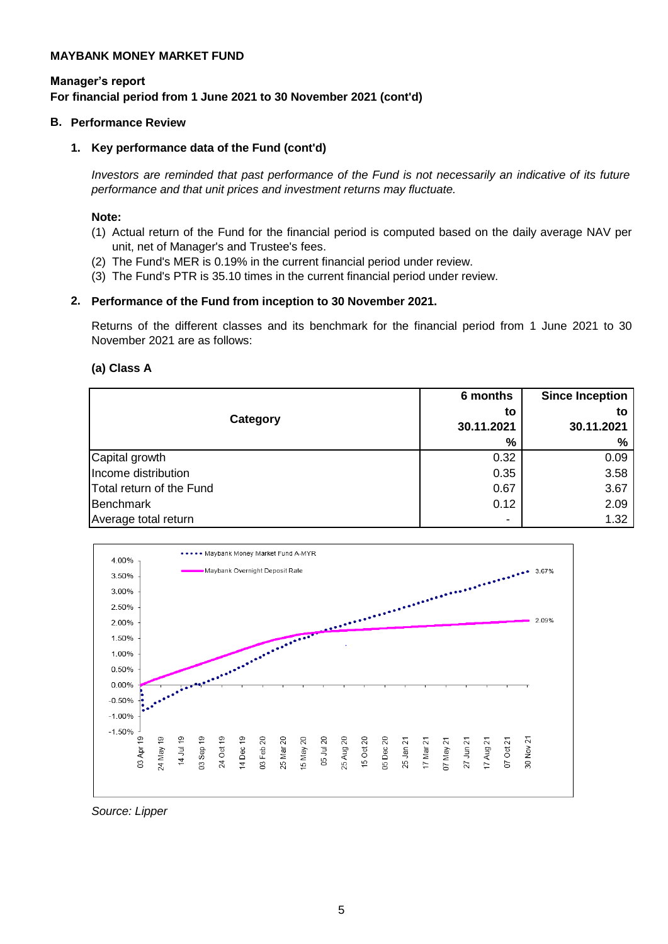# **For financial period from 1 June 2021 to 30 November 2021 (cont'd) Manager's report**

### **B. Performance Review**

# **1. Key performance data of the Fund (cont'd)**

*Investors are reminded that past performance of the Fund is not necessarily an indicative of its future performance and that unit prices and investment returns may fluctuate.*

### **Note:**

- (1) Actual return of the Fund for the financial period is computed based on the daily average NAV per unit, net of Manager's and Trustee's fees.
- (2) The Fund's MER is 0.19% in the current financial period under review.
- (3) The Fund's PTR is 35.10 times in the current financial period under review.

# **2. Performance of the Fund from inception to 30 November 2021.**

Returns of the different classes and its benchmark for the financial period from 1 June 2021 to 30 November 2021 are as follows:

### **(a) Class A**

| Category                 | 6 months<br>to<br>30.11.2021<br>% | <b>Since Inception</b><br>to<br>30.11.2021<br>% |
|--------------------------|-----------------------------------|-------------------------------------------------|
| Capital growth           | 0.32                              | 0.09                                            |
| Income distribution      | 0.35                              | 3.58                                            |
| Total return of the Fund | 0.67                              | 3.67                                            |
| Benchmark                | 0.12                              | 2.09                                            |
| Average total return     | $\blacksquare$                    | 1.32                                            |



*Source: Lipper*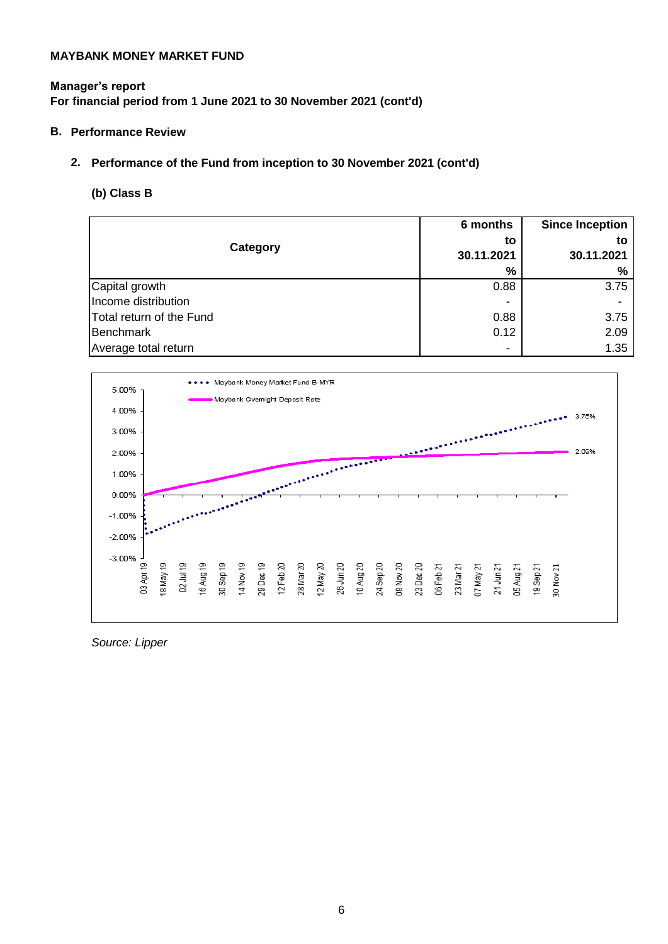# **Manager's report For financial period from 1 June 2021 to 30 November 2021 (cont'd)**

# **B. Performance Review**

# **2. Performance of the Fund from inception to 30 November 2021 (cont'd)**

# **(b) Class B**

|                          | 6 months       | <b>Since Inception</b> |
|--------------------------|----------------|------------------------|
| Category                 | to             | to                     |
|                          | 30.11.2021     | 30.11.2021             |
|                          | %              | %                      |
| Capital growth           | 0.88           | 3.75                   |
| Income distribution      |                |                        |
| Total return of the Fund | 0.88           | 3.75                   |
| Benchmark                | 0.12           | 2.09                   |
| Average total return     | $\blacksquare$ | 1.35                   |



*Source: Lipper*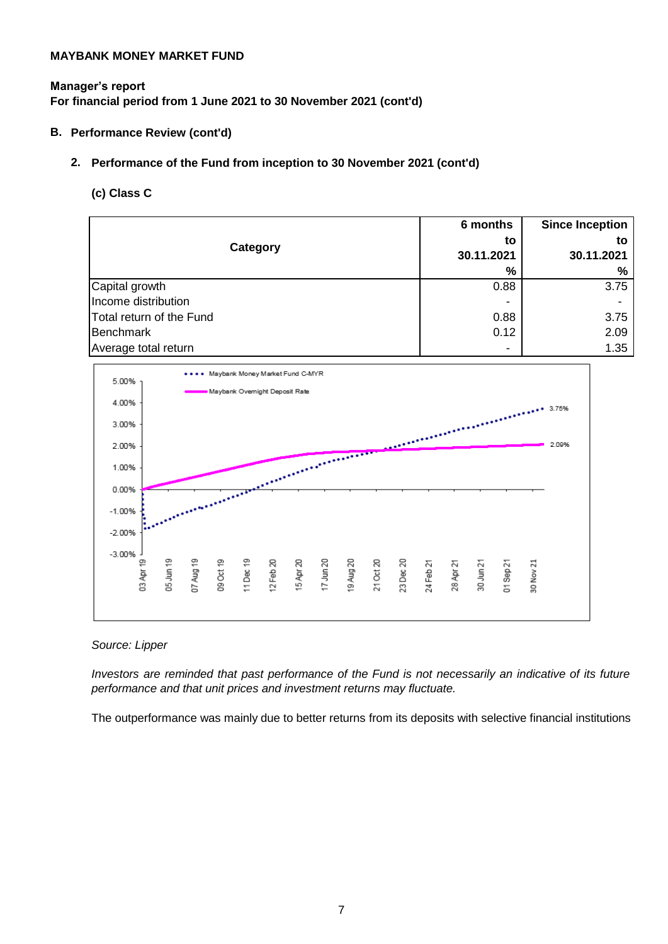# **Manager's report For financial period from 1 June 2021 to 30 November 2021 (cont'd)**

# **B. Performance Review (cont'd)**

# **2. Performance of the Fund from inception to 30 November 2021 (cont'd)**

# **(c) Class C**

|                          | 6 months       | <b>Since Inception</b> |
|--------------------------|----------------|------------------------|
| Category                 | to             | to                     |
|                          | 30.11.2021     | 30.11.2021             |
|                          | %              | ℅                      |
| Capital growth           | 0.88           | 3.75                   |
| Income distribution      |                |                        |
| Total return of the Fund | 0.88           | 3.75                   |
| Benchmark                | 0.12           | 2.09                   |
| Average total return     | $\blacksquare$ | 1.35                   |



*Source: Lipper*

*Investors are reminded that past performance of the Fund is not necessarily an indicative of its future performance and that unit prices and investment returns may fluctuate.*

The outperformance was mainly due to better returns from its deposits with selective financial institutions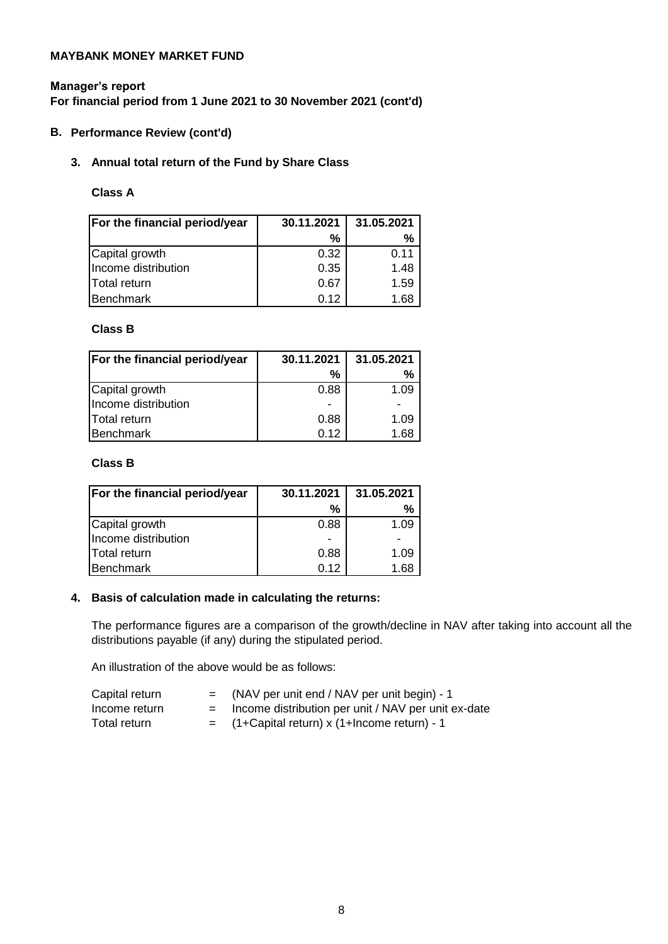# **Manager's report For financial period from 1 June 2021 to 30 November 2021 (cont'd)**

# **B. Performance Review (cont'd)**

# **3. Annual total return of the Fund by Share Class**

# **Class A**

| For the financial period/year | 31.05.2021<br>30.11.2021 |      |
|-------------------------------|--------------------------|------|
|                               | ℅                        | %    |
| Capital growth                | 0.32                     | 0.11 |
| Income distribution           | 0.35                     | 1.48 |
| <b>Total return</b>           | 0.67                     | 1.59 |
| Benchmark                     | 0.12                     | 1.68 |

# **Class B**

| For the financial period/year | 30.11.2021 | 31.05.2021 |
|-------------------------------|------------|------------|
|                               | %          | ℅          |
| Capital growth                | 0.88       | 1.09       |
| Income distribution           |            |            |
| Total return                  | 0.88       | 1.09       |
| Benchmark                     | 0.12       | ⊟68.∃      |

# **Class B**

| For the financial period/year | 30.11.2021     | 31.05.2021 |  |
|-------------------------------|----------------|------------|--|
|                               | %              | %          |  |
| Capital growth                | 0.88           | 1.09       |  |
| Income distribution           | $\blacksquare$ |            |  |
| Total return                  | 0.88           | 1.09       |  |
| Benchmark                     | 0.12           | 1.68       |  |

# **4. Basis of calculation made in calculating the returns:**

The performance figures are a comparison of the growth/decline in NAV after taking into account all the distributions payable (if any) during the stipulated period.

An illustration of the above would be as follows:

- Capital return  $=$  (NAV per unit end / NAV per unit begin) 1
- 
- $I_n$  Income return  $=$  Income distribution per unit / NAV per unit ex-date Total return  $=$   $(1+Capital return) \times (1+Income return) - 1$

8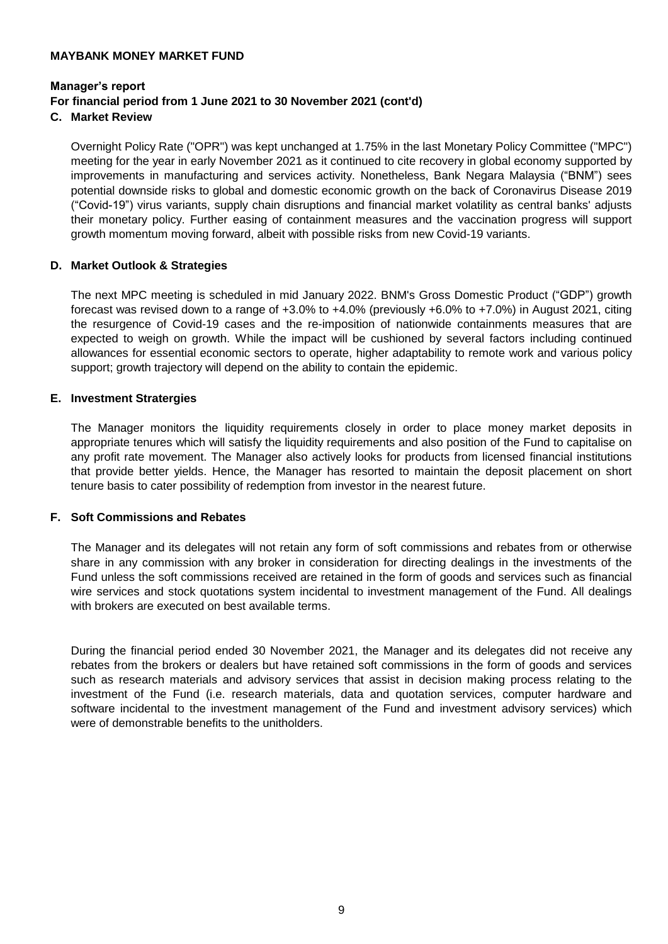# **Manager's report For financial period from 1 June 2021 to 30 November 2021 (cont'd)**

**C. Market Review**

Overnight Policy Rate ("OPR") was kept unchanged at 1.75% in the last Monetary Policy Committee ("MPC") meeting for the year in early November 2021 as it continued to cite recovery in global economy supported by improvements in manufacturing and services activity. Nonetheless, Bank Negara Malaysia ("BNM") sees potential downside risks to global and domestic economic growth on the back of Coronavirus Disease 2019 ("Covid-19") virus variants, supply chain disruptions and financial market volatility as central banks' adjusts their monetary policy. Further easing of containment measures and the vaccination progress will support growth momentum moving forward, albeit with possible risks from new Covid-19 variants.

# **D. Market Outlook & Strategies**

The next MPC meeting is scheduled in mid January 2022. BNM's Gross Domestic Product ("GDP") growth forecast was revised down to a range of +3.0% to +4.0% (previously +6.0% to +7.0%) in August 2021, citing the resurgence of Covid-19 cases and the re-imposition of nationwide containments measures that are expected to weigh on growth. While the impact will be cushioned by several factors including continued allowances for essential economic sectors to operate, higher adaptability to remote work and various policy support; growth trajectory will depend on the ability to contain the epidemic.

# **E. Investment Stratergies**

The Manager monitors the liquidity requirements closely in order to place money market deposits in appropriate tenures which will satisfy the liquidity requirements and also position of the Fund to capitalise on any profit rate movement. The Manager also actively looks for products from licensed financial institutions that provide better yields. Hence, the Manager has resorted to maintain the deposit placement on short tenure basis to cater possibility of redemption from investor in the nearest future.

# **F. Soft Commissions and Rebates**

The Manager and its delegates will not retain any form of soft commissions and rebates from or otherwise share in any commission with any broker in consideration for directing dealings in the investments of the Fund unless the soft commissions received are retained in the form of goods and services such as financial wire services and stock quotations system incidental to investment management of the Fund. All dealings with brokers are executed on best available terms.

During the financial period ended 30 November 2021, the Manager and its delegates did not receive any rebates from the brokers or dealers but have retained soft commissions in the form of goods and services such as research materials and advisory services that assist in decision making process relating to the investment of the Fund (i.e. research materials, data and quotation services, computer hardware and software incidental to the investment management of the Fund and investment advisory services) which were of demonstrable benefits to the unitholders.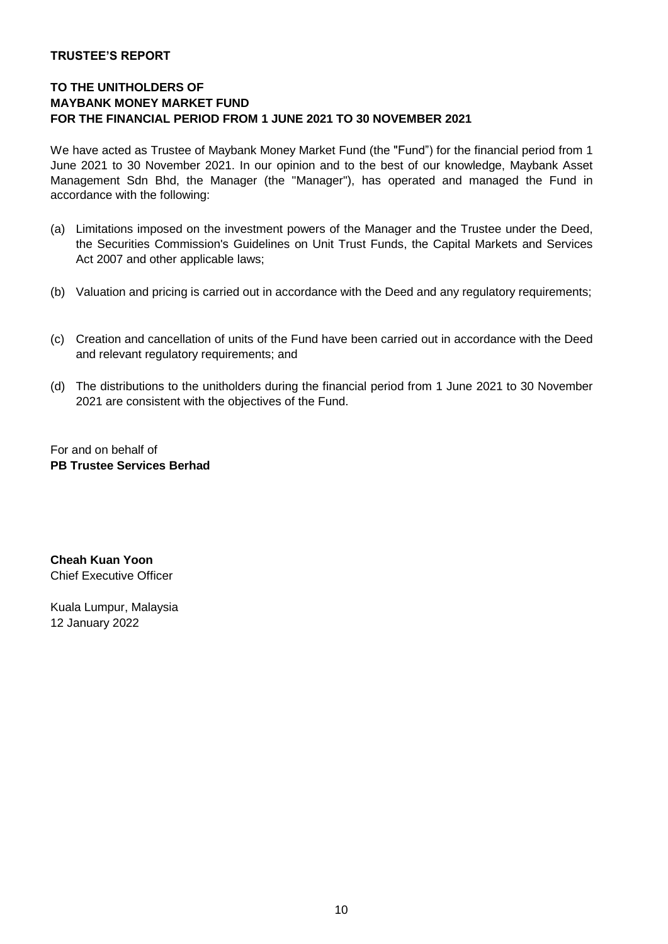# **TRUSTEE'S REPORT**

# **TO THE UNITHOLDERS OF MAYBANK MONEY MARKET FUND FOR THE FINANCIAL PERIOD FROM 1 JUNE 2021 TO 30 NOVEMBER 2021**

We have acted as Trustee of Maybank Money Market Fund (the "Fund") for the financial period from 1 June 2021 to 30 November 2021. In our opinion and to the best of our knowledge, Maybank Asset Management Sdn Bhd, the Manager (the "Manager"), has operated and managed the Fund in accordance with the following:

- (a) Limitations imposed on the investment powers of the Manager and the Trustee under the Deed, the Securities Commission's Guidelines on Unit Trust Funds, the Capital Markets and Services Act 2007 and other applicable laws;
- (b) Valuation and pricing is carried out in accordance with the Deed and any regulatory requirements;
- (c) Creation and cancellation of units of the Fund have been carried out in accordance with the Deed and relevant regulatory requirements; and
- (d) The distributions to the unitholders during the financial period from 1 June 2021 to 30 November 2021 are consistent with the objectives of the Fund.

For and on behalf of **PB Trustee Services Berhad**

**Cheah Kuan Yoon** Chief Executive Officer

Kuala Lumpur, Malaysia 12 January 2022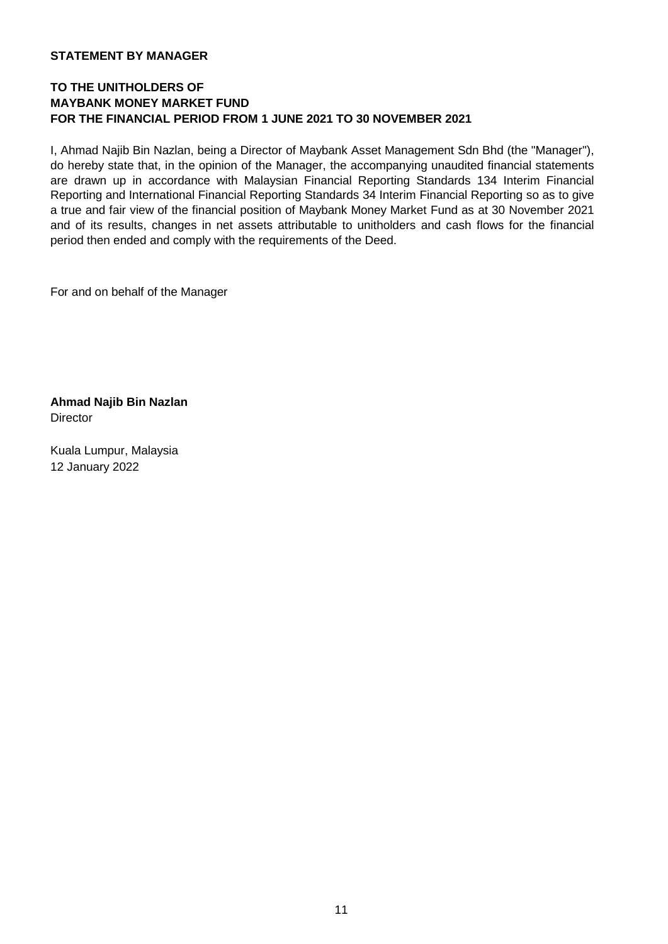# **STATEMENT BY MANAGER**

# **TO THE UNITHOLDERS OF MAYBANK MONEY MARKET FUND FOR THE FINANCIAL PERIOD FROM 1 JUNE 2021 TO 30 NOVEMBER 2021**

I, Ahmad Najib Bin Nazlan, being a Director of Maybank Asset Management Sdn Bhd (the "Manager"), do hereby state that, in the opinion of the Manager, the accompanying unaudited financial statements are drawn up in accordance with Malaysian Financial Reporting Standards 134 Interim Financial Reporting and International Financial Reporting Standards 34 Interim Financial Reporting so as to give a true and fair view of the financial position of Maybank Money Market Fund as at 30 November 2021 and of its results, changes in net assets attributable to unitholders and cash flows for the financial period then ended and comply with the requirements of the Deed.

For and on behalf of the Manager

**Ahmad Najib Bin Nazlan Director** 

Kuala Lumpur, Malaysia 12 January 2022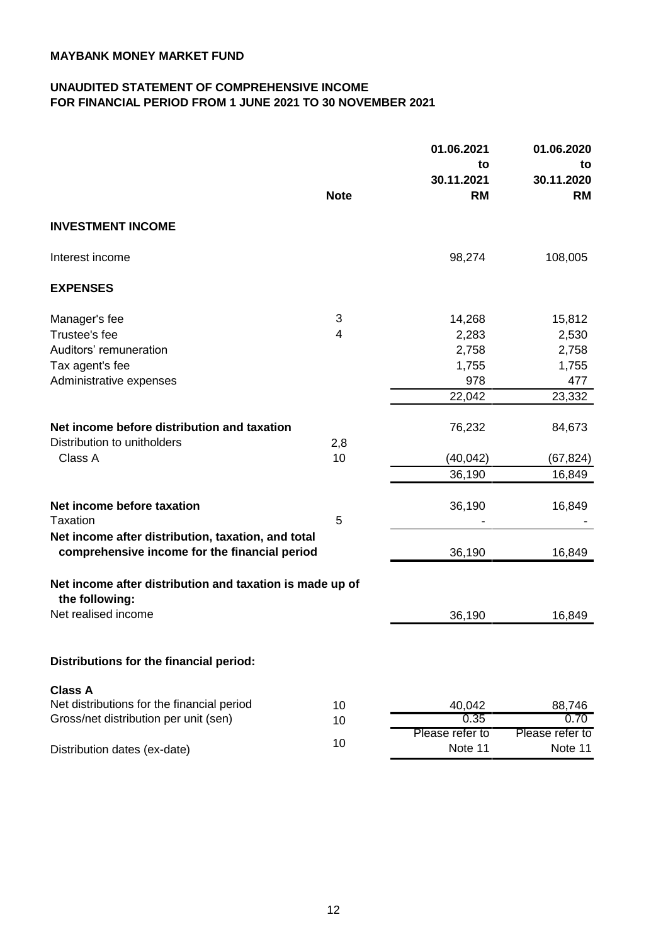# **UNAUDITED STATEMENT OF COMPREHENSIVE INCOME FOR FINANCIAL PERIOD FROM 1 JUNE 2021 TO 30 NOVEMBER 2021**

|                                                                                                     | 01.06.2021  |                         | 01.06.2020              |
|-----------------------------------------------------------------------------------------------------|-------------|-------------------------|-------------------------|
|                                                                                                     |             | to                      | to                      |
|                                                                                                     | <b>Note</b> | 30.11.2021<br><b>RM</b> | 30.11.2020<br><b>RM</b> |
|                                                                                                     |             |                         |                         |
| <b>INVESTMENT INCOME</b>                                                                            |             |                         |                         |
| Interest income                                                                                     |             | 98,274                  | 108,005                 |
| <b>EXPENSES</b>                                                                                     |             |                         |                         |
| Manager's fee                                                                                       | 3           | 14,268                  | 15,812                  |
| Trustee's fee                                                                                       | 4           | 2,283                   | 2,530                   |
| Auditors' remuneration                                                                              |             | 2,758                   | 2,758                   |
| Tax agent's fee                                                                                     |             | 1,755                   | 1,755                   |
| Administrative expenses                                                                             |             | 978                     | 477                     |
|                                                                                                     |             | 22,042                  | 23,332                  |
| Net income before distribution and taxation                                                         |             | 76,232                  | 84,673                  |
| Distribution to unitholders                                                                         | 2,8         |                         |                         |
| Class A                                                                                             | 10          | (40, 042)               | (67, 824)               |
|                                                                                                     |             | 36,190                  | 16,849                  |
|                                                                                                     |             |                         |                         |
| Net income before taxation<br>Taxation                                                              | 5           | 36,190                  | 16,849                  |
|                                                                                                     |             |                         |                         |
| Net income after distribution, taxation, and total<br>comprehensive income for the financial period |             | 36,190                  | 16,849                  |
|                                                                                                     |             |                         |                         |
| Net income after distribution and taxation is made up of<br>the following:                          |             |                         |                         |
| Net realised income                                                                                 |             | 36,190                  | 16,849                  |
|                                                                                                     |             |                         |                         |
| Distributions for the financial period:                                                             |             |                         |                         |
|                                                                                                     |             |                         |                         |
| <b>Class A</b><br>Net distributions for the financial period                                        | 10          | 40,042                  |                         |
| Gross/net distribution per unit (sen)                                                               | 10          | 0.35                    | 88,746<br>0.70          |
|                                                                                                     |             | Please refer to         | Please refer to         |
| Distribution dates (ex-date)                                                                        | 10          | Note 11                 | Note 11                 |
|                                                                                                     |             |                         |                         |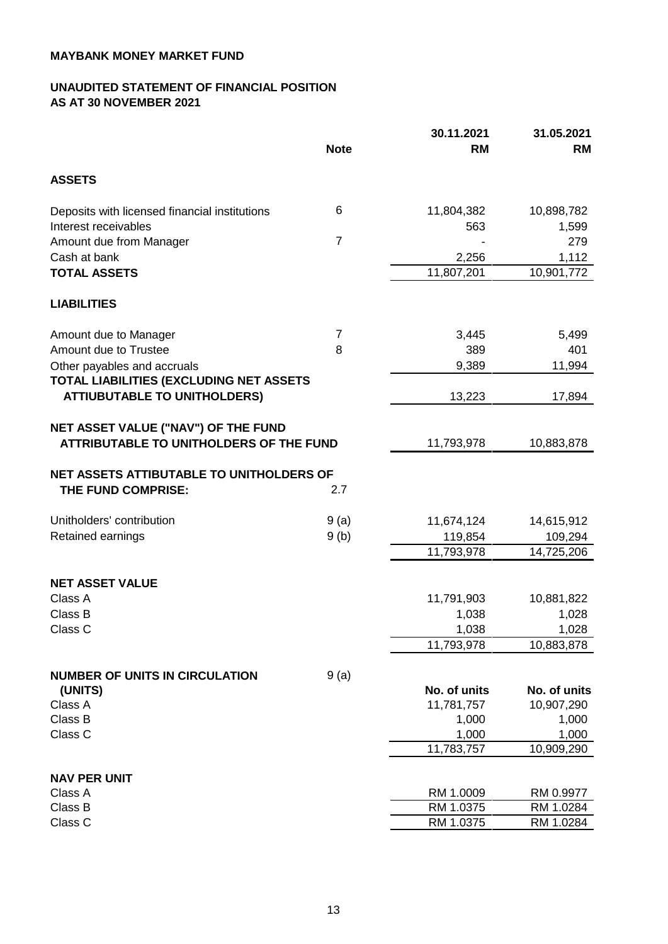# **UNAUDITED STATEMENT OF FINANCIAL POSITION AS AT 30 NOVEMBER 2021**

|                                                                                | <b>Note</b>    | 30.11.2021<br><b>RM</b> | 31.05.2021<br>RM       |
|--------------------------------------------------------------------------------|----------------|-------------------------|------------------------|
| <b>ASSETS</b>                                                                  |                |                         |                        |
| Deposits with licensed financial institutions<br>Interest receivables          | 6              | 11,804,382<br>563       | 10,898,782<br>1,599    |
| Amount due from Manager                                                        | $\overline{7}$ |                         | 279                    |
| Cash at bank                                                                   |                | 2,256                   | 1,112                  |
| <b>TOTAL ASSETS</b>                                                            |                | 11,807,201              | 10,901,772             |
| <b>LIABILITIES</b>                                                             |                |                         |                        |
| Amount due to Manager                                                          | 7              | 3,445                   | 5,499                  |
| Amount due to Trustee                                                          | 8              | 389                     | 401                    |
| Other payables and accruals                                                    |                | 9,389                   | 11,994                 |
| TOTAL LIABILITIES (EXCLUDING NET ASSETS<br><b>ATTIUBUTABLE TO UNITHOLDERS)</b> |                | 13,223                  | 17,894                 |
| NET ASSET VALUE ("NAV") OF THE FUND<br>ATTRIBUTABLE TO UNITHOLDERS OF THE FUND |                | 11,793,978              | 10,883,878             |
| NET ASSETS ATTIBUTABLE TO UNITHOLDERS OF                                       |                |                         |                        |
| THE FUND COMPRISE:                                                             | 2.7            |                         |                        |
| Unitholders' contribution                                                      | 9(a)           | 11,674,124              | 14,615,912             |
| Retained earnings                                                              | 9(b)           | 119,854                 | 109,294                |
|                                                                                |                | 11,793,978              | 14,725,206             |
| <b>NET ASSET VALUE</b>                                                         |                |                         |                        |
| Class A                                                                        |                | 11,791,903              | 10,881,822             |
| Class B                                                                        |                | 1,038                   | 1,028                  |
| Class C                                                                        |                | 1,038                   | 1,028                  |
|                                                                                |                | 11,793,978              | 10,883,878             |
| <b>NUMBER OF UNITS IN CIRCULATION</b>                                          | 9(a)           |                         |                        |
| (UNITS)                                                                        |                | No. of units            | No. of units           |
| Class A                                                                        |                | 11,781,757              | 10,907,290             |
| Class B                                                                        |                | 1,000                   | 1,000                  |
| Class C                                                                        |                | 1,000<br>11,783,757     | 1,000<br>10,909,290    |
|                                                                                |                |                         |                        |
| <b>NAV PER UNIT</b>                                                            |                |                         |                        |
| Class A<br>Class B                                                             |                | RM 1.0009<br>RM 1.0375  | RM 0.9977              |
| Class C                                                                        |                | RM 1.0375               | RM 1.0284<br>RM 1.0284 |
|                                                                                |                |                         |                        |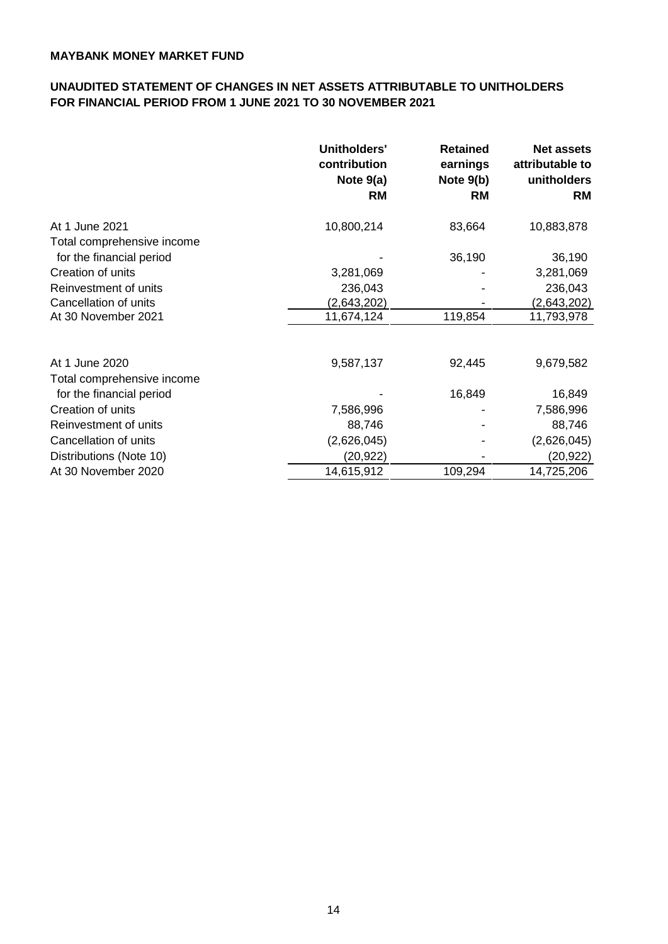# **FOR FINANCIAL PERIOD FROM 1 JUNE 2021 TO 30 NOVEMBER 2021 UNAUDITED STATEMENT OF CHANGES IN NET ASSETS ATTRIBUTABLE TO UNITHOLDERS**

|                            | <b>Unitholders'</b><br>contribution<br>Note $9(a)$<br>RM | <b>Retained</b><br>earnings<br>Note $9(b)$<br>RM | <b>Net assets</b><br>attributable to<br>unitholders<br><b>RM</b> |
|----------------------------|----------------------------------------------------------|--------------------------------------------------|------------------------------------------------------------------|
| At 1 June 2021             | 10,800,214                                               | 83,664                                           | 10,883,878                                                       |
| Total comprehensive income |                                                          |                                                  |                                                                  |
| for the financial period   |                                                          | 36,190                                           | 36,190                                                           |
| Creation of units          | 3,281,069                                                |                                                  | 3,281,069                                                        |
| Reinvestment of units      | 236,043                                                  |                                                  | 236,043                                                          |
| Cancellation of units      | (2,643,202)                                              |                                                  | (2,643,202)                                                      |
| At 30 November 2021        | 11,674,124                                               | 119,854                                          | 11,793,978                                                       |
|                            |                                                          |                                                  |                                                                  |
| At 1 June 2020             | 9,587,137                                                | 92,445                                           | 9,679,582                                                        |
| Total comprehensive income |                                                          |                                                  |                                                                  |
| for the financial period   |                                                          | 16,849                                           | 16,849                                                           |
| Creation of units          | 7,586,996                                                |                                                  | 7,586,996                                                        |
| Reinvestment of units      | 88,746                                                   |                                                  | 88,746                                                           |
| Cancellation of units      | (2,626,045)                                              |                                                  | (2,626,045)                                                      |
| Distributions (Note 10)    | (20,922)                                                 |                                                  | (20,922)                                                         |
| At 30 November 2020        | 14,615,912                                               | 109,294                                          | 14,725,206                                                       |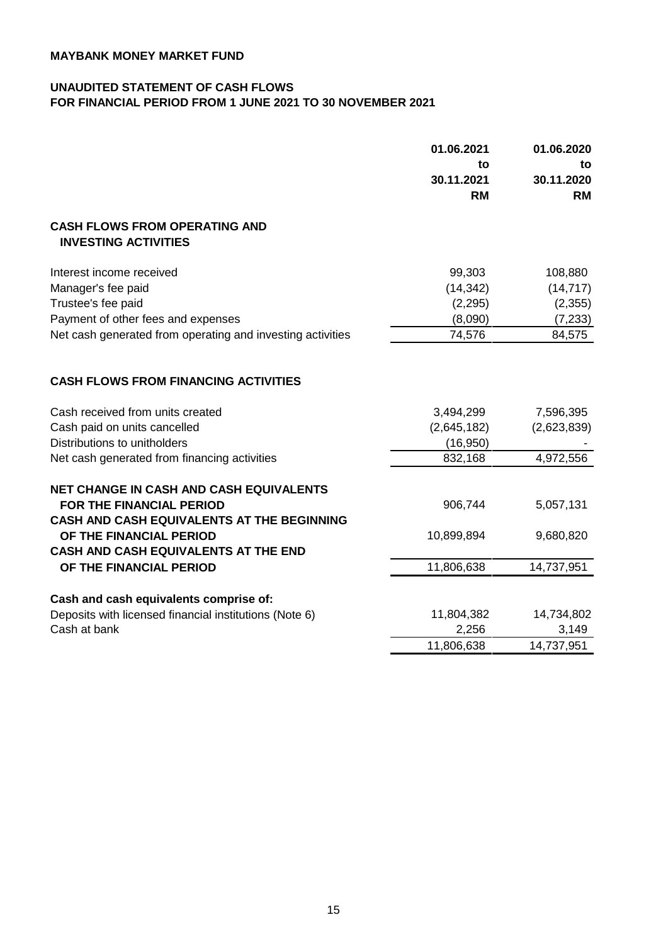# **UNAUDITED STATEMENT OF CASH FLOWS FOR FINANCIAL PERIOD FROM 1 JUNE 2021 TO 30 NOVEMBER 2021**

|                                                                                                               | 01.06.2021<br>to<br>30.11.2021<br><b>RM</b> | 01.06.2020<br>to<br>30.11.2020<br><b>RM</b> |
|---------------------------------------------------------------------------------------------------------------|---------------------------------------------|---------------------------------------------|
| <b>CASH FLOWS FROM OPERATING AND</b><br><b>INVESTING ACTIVITIES</b>                                           |                                             |                                             |
| Interest income received                                                                                      | 99,303                                      | 108,880                                     |
| Manager's fee paid                                                                                            | (14, 342)                                   | (14, 717)                                   |
| Trustee's fee paid                                                                                            | (2, 295)                                    | (2,355)                                     |
| Payment of other fees and expenses                                                                            | (8,090)                                     | (7, 233)                                    |
| Net cash generated from operating and investing activities                                                    | 74,576                                      | 84,575                                      |
| <b>CASH FLOWS FROM FINANCING ACTIVITIES</b>                                                                   |                                             |                                             |
| Cash received from units created                                                                              | 3,494,299                                   | 7,596,395                                   |
| Cash paid on units cancelled                                                                                  | (2,645,182)                                 | (2,623,839)                                 |
| Distributions to unitholders                                                                                  | (16, 950)                                   |                                             |
| Net cash generated from financing activities                                                                  | 832,168                                     | 4,972,556                                   |
| <b>NET CHANGE IN CASH AND CASH EQUIVALENTS</b>                                                                |                                             |                                             |
| <b>FOR THE FINANCIAL PERIOD</b>                                                                               | 906,744                                     | 5,057,131                                   |
| CASH AND CASH EQUIVALENTS AT THE BEGINNING<br>OF THE FINANCIAL PERIOD<br>CASH AND CASH EQUIVALENTS AT THE END | 10,899,894                                  | 9,680,820                                   |
| OF THE FINANCIAL PERIOD                                                                                       | 11,806,638                                  | 14,737,951                                  |
| Cash and cash equivalents comprise of:                                                                        |                                             |                                             |
| Deposits with licensed financial institutions (Note 6)                                                        | 11,804,382                                  | 14,734,802                                  |
| Cash at bank                                                                                                  | 2,256                                       | 3,149                                       |
|                                                                                                               | 11,806,638                                  | 14,737,951                                  |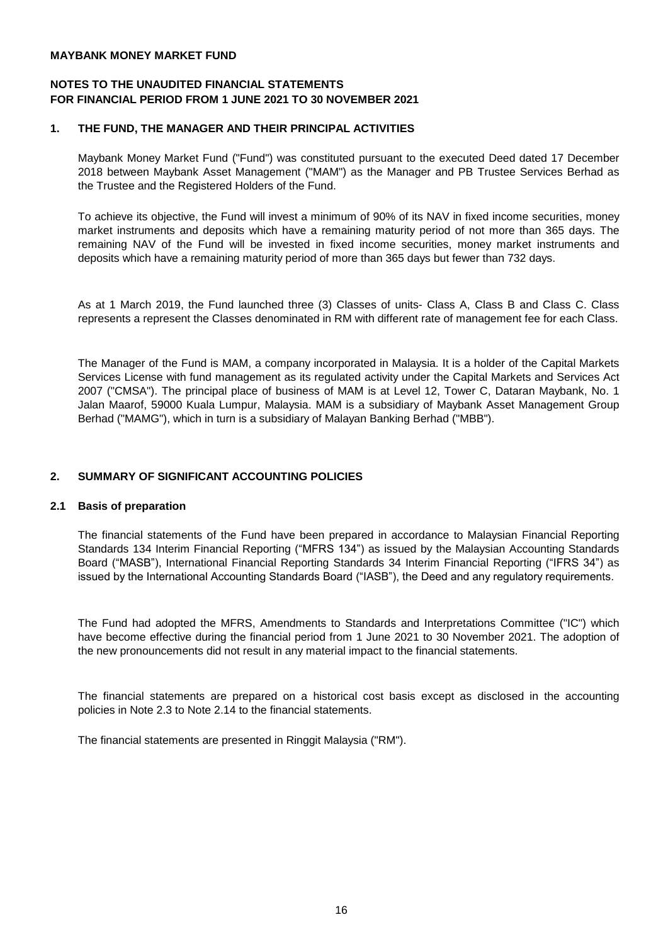# **NOTES TO THE UNAUDITED FINANCIAL STATEMENTS FOR FINANCIAL PERIOD FROM 1 JUNE 2021 TO 30 NOVEMBER 2021**

### **1. THE FUND, THE MANAGER AND THEIR PRINCIPAL ACTIVITIES**

Maybank Money Market Fund ("Fund") was constituted pursuant to the executed Deed dated 17 December 2018 between Maybank Asset Management ("MAM") as the Manager and PB Trustee Services Berhad as the Trustee and the Registered Holders of the Fund.

To achieve its objective, the Fund will invest a minimum of 90% of its NAV in fixed income securities, money market instruments and deposits which have a remaining maturity period of not more than 365 days. The remaining NAV of the Fund will be invested in fixed income securities, money market instruments and deposits which have a remaining maturity period of more than 365 days but fewer than 732 days.

As at 1 March 2019, the Fund launched three (3) Classes of units- Class A, Class B and Class C. Class represents a represent the Classes denominated in RM with different rate of management fee for each Class.

The Manager of the Fund is MAM, a company incorporated in Malaysia. It is a holder of the Capital Markets Services License with fund management as its regulated activity under the Capital Markets and Services Act 2007 ("CMSA"). The principal place of business of MAM is at Level 12, Tower C, Dataran Maybank, No. 1 Jalan Maarof, 59000 Kuala Lumpur, Malaysia. MAM is a subsidiary of Maybank Asset Management Group Berhad ("MAMG"), which in turn is a subsidiary of Malayan Banking Berhad ("MBB").

# **2. SUMMARY OF SIGNIFICANT ACCOUNTING POLICIES**

# **2.1 Basis of preparation**

The financial statements of the Fund have been prepared in accordance to Malaysian Financial Reporting Standards 134 Interim Financial Reporting ("MFRS 134") as issued by the Malaysian Accounting Standards Board ("MASB"), International Financial Reporting Standards 34 Interim Financial Reporting ("IFRS 34") as issued by the International Accounting Standards Board ("IASB"), the Deed and any regulatory requirements.

The Fund had adopted the MFRS, Amendments to Standards and Interpretations Committee ("IC") which have become effective during the financial period from 1 June 2021 to 30 November 2021. The adoption of the new pronouncements did not result in any material impact to the financial statements.

The financial statements are prepared on a historical cost basis except as disclosed in the accounting policies in Note 2.3 to Note 2.14 to the financial statements.

The financial statements are presented in Ringgit Malaysia ("RM").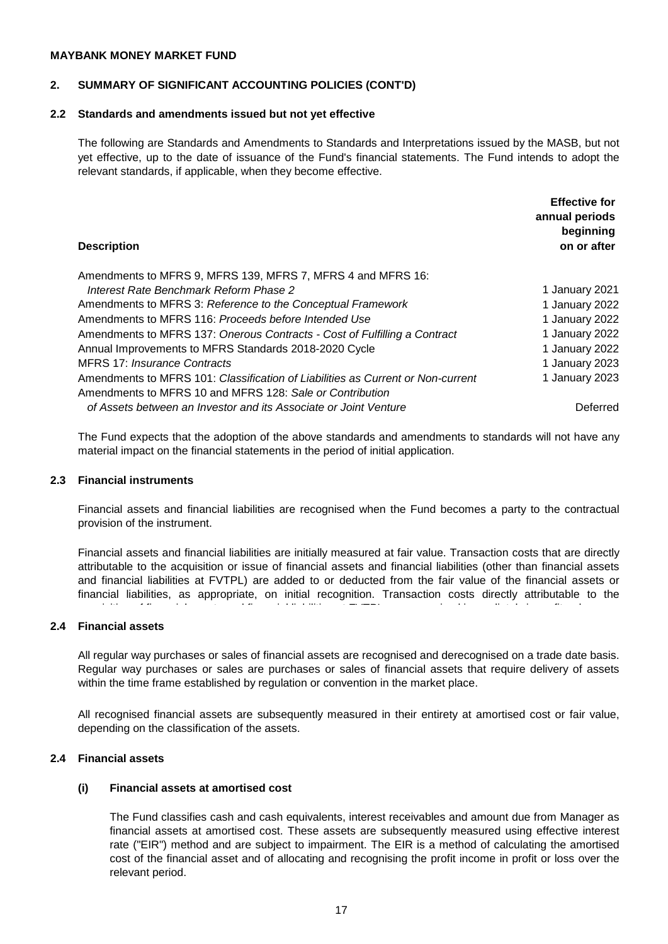### **2. SUMMARY OF SIGNIFICANT ACCOUNTING POLICIES (CONT'D)**

### **2.2 Standards and amendments issued but not yet effective**

The following are Standards and Amendments to Standards and Interpretations issued by the MASB, but not yet effective, up to the date of issuance of the Fund's financial statements. The Fund intends to adopt the relevant standards, if applicable, when they become effective.

| <b>Description</b>                                                                                                                          | <b>Effective for</b><br>annual periods<br>beginning<br>on or after |
|---------------------------------------------------------------------------------------------------------------------------------------------|--------------------------------------------------------------------|
| Amendments to MFRS 9, MFRS 139, MFRS 7, MFRS 4 and MFRS 16:                                                                                 |                                                                    |
| Interest Rate Benchmark Reform Phase 2                                                                                                      | 1 January 2021                                                     |
| Amendments to MFRS 3: Reference to the Conceptual Framework                                                                                 | 1 January 2022                                                     |
| Amendments to MFRS 116: Proceeds before Intended Use                                                                                        | 1 January 2022                                                     |
| Amendments to MFRS 137: Onerous Contracts - Cost of Fulfilling a Contract                                                                   | 1 January 2022                                                     |
| Annual Improvements to MFRS Standards 2018-2020 Cycle                                                                                       | 1 January 2022                                                     |
| MFRS 17: Insurance Contracts                                                                                                                | 1 January 2023                                                     |
| Amendments to MFRS 101: Classification of Liabilities as Current or Non-current<br>Amendments to MFRS 10 and MFRS 128: Sale or Contribution | 1 January 2023                                                     |
| of Assets between an Investor and its Associate or Joint Venture                                                                            | Deferred                                                           |
|                                                                                                                                             |                                                                    |

The Fund expects that the adoption of the above standards and amendments to standards will not have any material impact on the financial statements in the period of initial application.

#### **2.3 Financial instruments**

Financial assets and financial liabilities are recognised when the Fund becomes a party to the contractual provision of the instrument.

Financial assets and financial liabilities are initially measured at fair value. Transaction costs that are directly attributable to the acquisition or issue of financial assets and financial liabilities (other than financial assets and financial liabilities at FVTPL) are added to or deducted from the fair value of the financial assets or financial liabilities, as appropriate, on initial recognition. Transaction costs directly attributable to the acquisition of financial assets and financial liabilities at FVTPL are recognised immediately in profit or loss.

#### **2.4 Financial assets**

All regular way purchases or sales of financial assets are recognised and derecognised on a trade date basis. Regular way purchases or sales are purchases or sales of financial assets that require delivery of assets within the time frame established by regulation or convention in the market place.

All recognised financial assets are subsequently measured in their entirety at amortised cost or fair value, depending on the classification of the assets.

#### **2.4 Financial assets**

#### **(i) Financial assets at amortised cost**

The Fund classifies cash and cash equivalents, interest receivables and amount due from Manager as financial assets at amortised cost. These assets are subsequently measured using effective interest rate ("EIR") method and are subject to impairment. The EIR is a method of calculating the amortised cost of the financial asset and of allocating and recognising the profit income in profit or loss over the relevant period.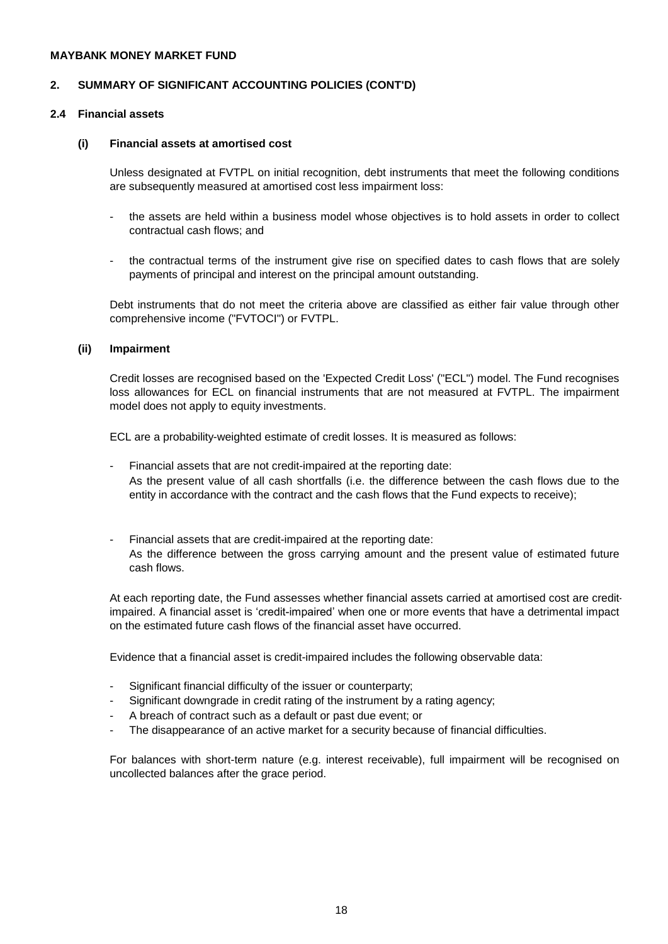# **2. SUMMARY OF SIGNIFICANT ACCOUNTING POLICIES (CONT'D)**

# **2.4 Financial assets**

### **(i) Financial assets at amortised cost**

Unless designated at FVTPL on initial recognition, debt instruments that meet the following conditions are subsequently measured at amortised cost less impairment loss:

- the assets are held within a business model whose objectives is to hold assets in order to collect contractual cash flows; and
- the contractual terms of the instrument give rise on specified dates to cash flows that are solely payments of principal and interest on the principal amount outstanding.

Debt instruments that do not meet the criteria above are classified as either fair value through other comprehensive income ("FVTOCI") or FVTPL.

#### **(ii) Impairment**

Credit losses are recognised based on the 'Expected Credit Loss' ("ECL") model. The Fund recognises loss allowances for ECL on financial instruments that are not measured at FVTPL. The impairment model does not apply to equity investments.

ECL are a probability-weighted estimate of credit losses. It is measured as follows:

- Financial assets that are not credit-impaired at the reporting date: As the present value of all cash shortfalls (i.e. the difference between the cash flows due to the entity in accordance with the contract and the cash flows that the Fund expects to receive);
- Financial assets that are credit-impaired at the reporting date: As the difference between the gross carrying amount and the present value of estimated future cash flows.

At each reporting date, the Fund assesses whether financial assets carried at amortised cost are creditimpaired. A financial asset is 'credit-impaired' when one or more events that have a detrimental impact on the estimated future cash flows of the financial asset have occurred.

Evidence that a financial asset is credit-impaired includes the following observable data:

- Significant financial difficulty of the issuer or counterparty;
- Significant downgrade in credit rating of the instrument by a rating agency;
- A breach of contract such as a default or past due event; or
- The disappearance of an active market for a security because of financial difficulties.

For balances with short-term nature (e.g. interest receivable), full impairment will be recognised on uncollected balances after the grace period.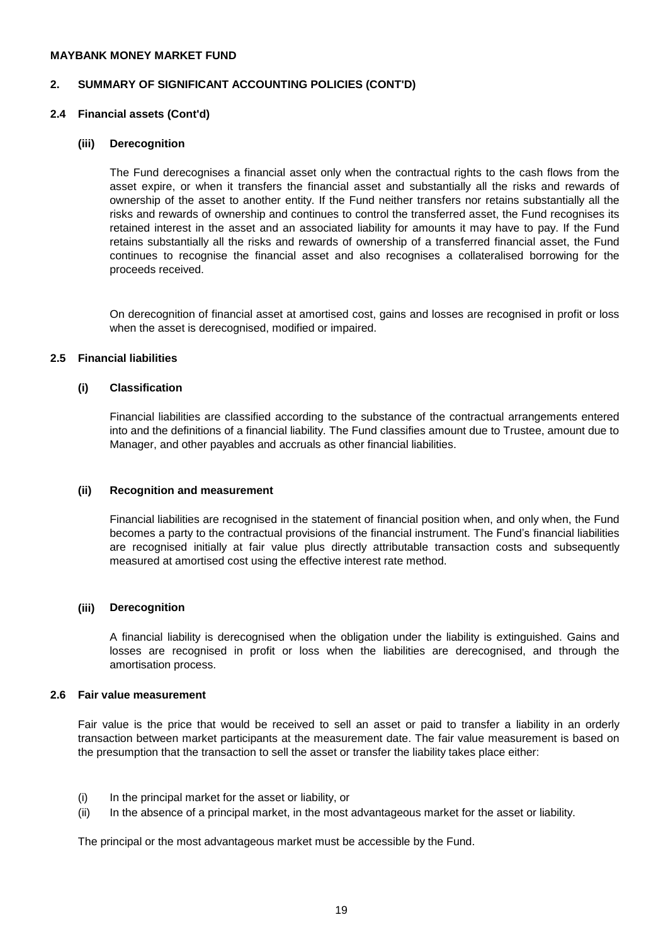# **2. SUMMARY OF SIGNIFICANT ACCOUNTING POLICIES (CONT'D)**

#### **2.4 Financial assets (Cont'd)**

#### **(iii) Derecognition**

The Fund derecognises a financial asset only when the contractual rights to the cash flows from the asset expire, or when it transfers the financial asset and substantially all the risks and rewards of ownership of the asset to another entity. If the Fund neither transfers nor retains substantially all the risks and rewards of ownership and continues to control the transferred asset, the Fund recognises its retained interest in the asset and an associated liability for amounts it may have to pay. If the Fund retains substantially all the risks and rewards of ownership of a transferred financial asset, the Fund continues to recognise the financial asset and also recognises a collateralised borrowing for the proceeds received.

On derecognition of financial asset at amortised cost, gains and losses are recognised in profit or loss when the asset is derecognised, modified or impaired.

#### **2.5 Financial liabilities**

# **(i) Classification**

Financial liabilities are classified according to the substance of the contractual arrangements entered into and the definitions of a financial liability. The Fund classifies amount due to Trustee, amount due to Manager, and other payables and accruals as other financial liabilities.

#### **(ii) Recognition and measurement**

Financial liabilities are recognised in the statement of financial position when, and only when, the Fund becomes a party to the contractual provisions of the financial instrument. The Fund's financial liabilities are recognised initially at fair value plus directly attributable transaction costs and subsequently measured at amortised cost using the effective interest rate method.

#### **(iii) Derecognition**

A financial liability is derecognised when the obligation under the liability is extinguished. Gains and losses are recognised in profit or loss when the liabilities are derecognised, and through the amortisation process.

### **2.6 Fair value measurement**

Fair value is the price that would be received to sell an asset or paid to transfer a liability in an orderly transaction between market participants at the measurement date. The fair value measurement is based on the presumption that the transaction to sell the asset or transfer the liability takes place either:

- (i) In the principal market for the asset or liability, or
- (ii) In the absence of a principal market, in the most advantageous market for the asset or liability.

The principal or the most advantageous market must be accessible by the Fund.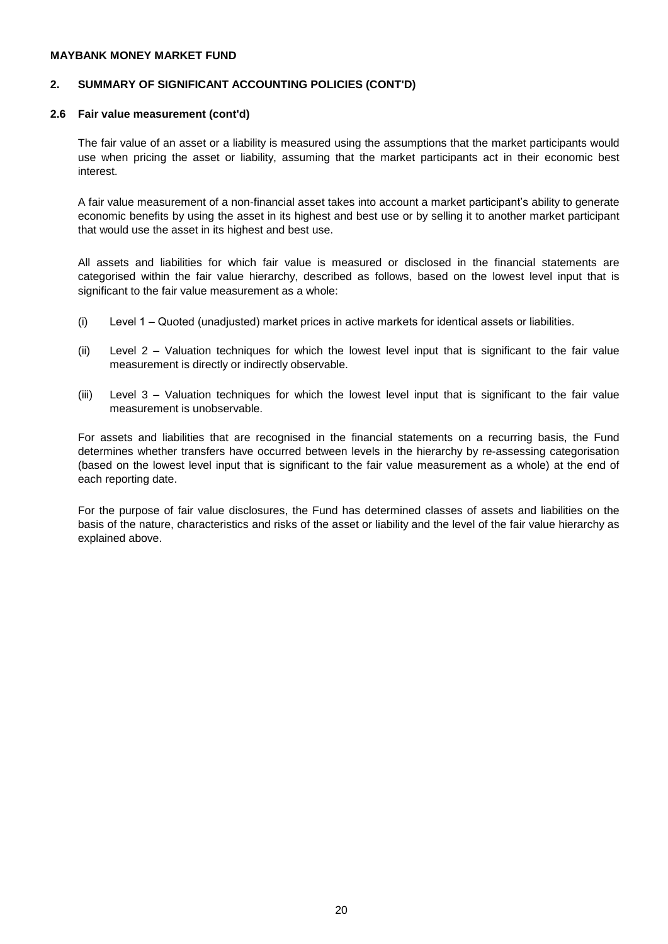# **2. SUMMARY OF SIGNIFICANT ACCOUNTING POLICIES (CONT'D)**

### **2.6 Fair value measurement (cont'd)**

The fair value of an asset or a liability is measured using the assumptions that the market participants would use when pricing the asset or liability, assuming that the market participants act in their economic best interest.

A fair value measurement of a non-financial asset takes into account a market participant's ability to generate economic benefits by using the asset in its highest and best use or by selling it to another market participant that would use the asset in its highest and best use.

All assets and liabilities for which fair value is measured or disclosed in the financial statements are categorised within the fair value hierarchy, described as follows, based on the lowest level input that is significant to the fair value measurement as a whole:

- (i) Level 1 – Quoted (unadjusted) market prices in active markets for identical assets or liabilities.
- (ii) Level 2 – Valuation techniques for which the lowest level input that is significant to the fair value measurement is directly or indirectly observable.
- (iii) Level 3 – Valuation techniques for which the lowest level input that is significant to the fair value measurement is unobservable.

For assets and liabilities that are recognised in the financial statements on a recurring basis, the Fund determines whether transfers have occurred between levels in the hierarchy by re-assessing categorisation (based on the lowest level input that is significant to the fair value measurement as a whole) at the end of each reporting date.

For the purpose of fair value disclosures, the Fund has determined classes of assets and liabilities on the basis of the nature, characteristics and risks of the asset or liability and the level of the fair value hierarchy as explained above.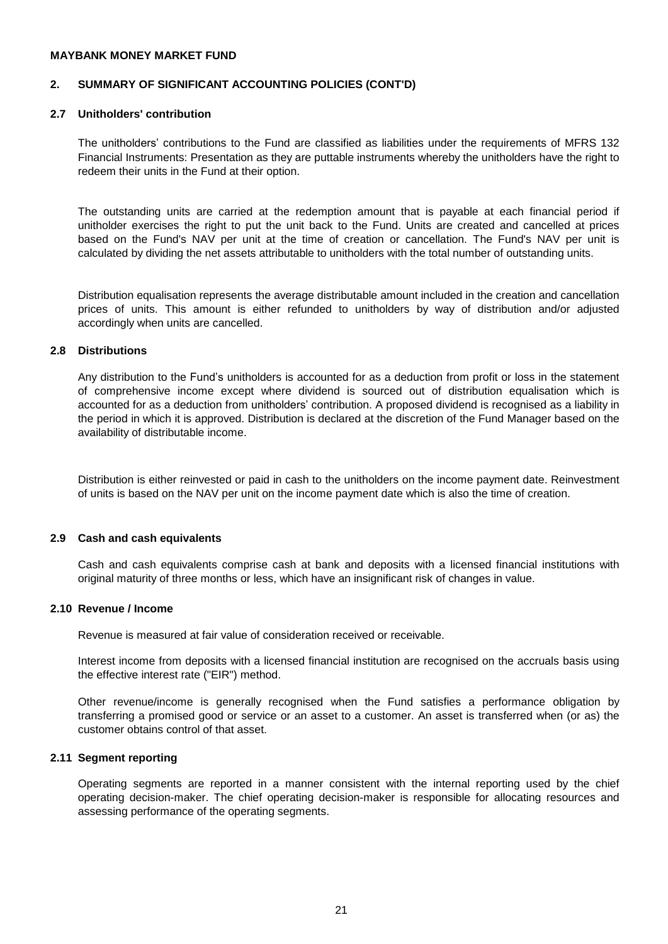# **2. SUMMARY OF SIGNIFICANT ACCOUNTING POLICIES (CONT'D)**

### **2.7 Unitholders' contribution**

The unitholders' contributions to the Fund are classified as liabilities under the requirements of MFRS 132 Financial Instruments: Presentation as they are puttable instruments whereby the unitholders have the right to redeem their units in the Fund at their option.

The outstanding units are carried at the redemption amount that is payable at each financial period if unitholder exercises the right to put the unit back to the Fund. Units are created and cancelled at prices based on the Fund's NAV per unit at the time of creation or cancellation. The Fund's NAV per unit is calculated by dividing the net assets attributable to unitholders with the total number of outstanding units.

Distribution equalisation represents the average distributable amount included in the creation and cancellation prices of units. This amount is either refunded to unitholders by way of distribution and/or adjusted accordingly when units are cancelled.

### **2.8 Distributions**

Any distribution to the Fund's unitholders is accounted for as a deduction from profit or loss in the statement of comprehensive income except where dividend is sourced out of distribution equalisation which is accounted for as a deduction from unitholders' contribution. A proposed dividend is recognised as a liability in the period in which it is approved. Distribution is declared at the discretion of the Fund Manager based on the availability of distributable income.

Distribution is either reinvested or paid in cash to the unitholders on the income payment date. Reinvestment of units is based on the NAV per unit on the income payment date which is also the time of creation.

#### **2.9 Cash and cash equivalents**

Cash and cash equivalents comprise cash at bank and deposits with a licensed financial institutions with original maturity of three months or less, which have an insignificant risk of changes in value.

#### **2.10 Revenue / Income**

Revenue is measured at fair value of consideration received or receivable.

Interest income from deposits with a licensed financial institution are recognised on the accruals basis using the effective interest rate ("EIR") method.

Other revenue/income is generally recognised when the Fund satisfies a performance obligation by transferring a promised good or service or an asset to a customer. An asset is transferred when (or as) the customer obtains control of that asset.

### **2.11 Segment reporting**

Operating segments are reported in a manner consistent with the internal reporting used by the chief operating decision-maker. The chief operating decision-maker is responsible for allocating resources and assessing performance of the operating segments.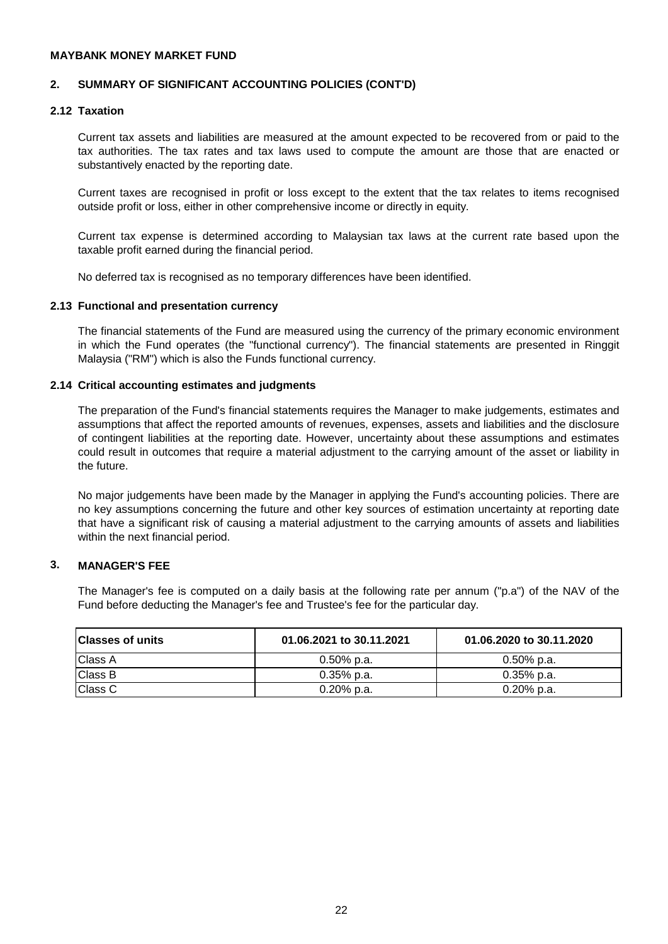### **2. SUMMARY OF SIGNIFICANT ACCOUNTING POLICIES (CONT'D)**

### **2.12 Taxation**

Current tax assets and liabilities are measured at the amount expected to be recovered from or paid to the tax authorities. The tax rates and tax laws used to compute the amount are those that are enacted or substantively enacted by the reporting date.

Current taxes are recognised in profit or loss except to the extent that the tax relates to items recognised outside profit or loss, either in other comprehensive income or directly in equity.

Current tax expense is determined according to Malaysian tax laws at the current rate based upon the taxable profit earned during the financial period.

No deferred tax is recognised as no temporary differences have been identified.

#### **2.13 Functional and presentation currency**

The financial statements of the Fund are measured using the currency of the primary economic environment in which the Fund operates (the "functional currency"). The financial statements are presented in Ringgit Malaysia ("RM") which is also the Funds functional currency.

#### **2.14 Critical accounting estimates and judgments**

The preparation of the Fund's financial statements requires the Manager to make judgements, estimates and assumptions that affect the reported amounts of revenues, expenses, assets and liabilities and the disclosure of contingent liabilities at the reporting date. However, uncertainty about these assumptions and estimates could result in outcomes that require a material adjustment to the carrying amount of the asset or liability in the future.

No major judgements have been made by the Manager in applying the Fund's accounting policies. There are no key assumptions concerning the future and other key sources of estimation uncertainty at reporting date that have a significant risk of causing a material adjustment to the carrying amounts of assets and liabilities within the next financial period.

#### **3. MANAGER'S FEE**

The Manager's fee is computed on a daily basis at the following rate per annum ("p.a") of the NAV of the Fund before deducting the Manager's fee and Trustee's fee for the particular day.

| <b>Classes of units</b> | 01.06.2021 to 30.11.2021 | 01.06.2020 to 30.11.2020 |
|-------------------------|--------------------------|--------------------------|
| Class A                 | $0.50\%$ p.a.            | 0.50% p.a.               |
| Class B                 | $0.35\%$ p.a.            | $0.35\%$ p.a.            |
| Class C                 | $0.20\%$ p.a.            | $0.20\%$ p.a.            |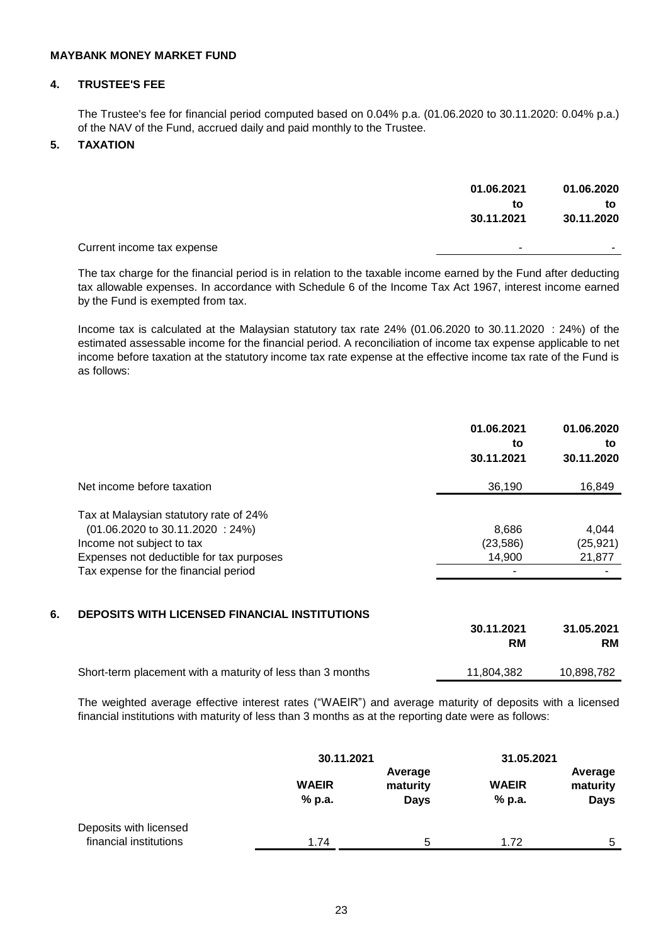# **4. TRUSTEE'S FEE**

The Trustee's fee for financial period computed based on 0.04% p.a. (01.06.2020 to 30.11.2020: 0.04% p.a.) of the NAV of the Fund, accrued daily and paid monthly to the Trustee.

# **5. TAXATION**

|                            | 01.06.2021<br>to | 01.06.2020<br>to |
|----------------------------|------------------|------------------|
|                            | 30.11.2021       | 30.11.2020       |
| Current income tax expense | -                | ۰.               |
|                            |                  |                  |

The tax charge for the financial period is in relation to the taxable income earned by the Fund after deducting tax allowable expenses. In accordance with Schedule 6 of the Income Tax Act 1967, interest income earned by the Fund is exempted from tax.

Income tax is calculated at the Malaysian statutory tax rate 24% (01.06.2020 to 30.11.2020 : 24%) of the estimated assessable income for the financial period. A reconciliation of income tax expense applicable to net income before taxation at the statutory income tax rate expense at the effective income tax rate of the Fund is as follows:

|                                                 | 01.06.2021<br>to<br>30.11.2021 | 01.06.2020<br>to<br>30.11.2020 |
|-------------------------------------------------|--------------------------------|--------------------------------|
| Net income before taxation                      | 36,190                         | 16,849                         |
| Tax at Malaysian statutory rate of 24%          |                                |                                |
| $(01.06.2020 \text{ to } 30.11.2020 \div 24\%)$ | 8,686                          | 4.044                          |
| Income not subject to tax                       | (23, 586)                      | (25, 921)                      |
| Expenses not deductible for tax purposes        | 14,900                         | 21,877                         |
| Tax expense for the financial period            |                                |                                |

# **6. DEPOSITS WITH LICENSED FINANCIAL INSTITUTIONS**

|                                                            | 30.11.2021 | 31.05.2021 |
|------------------------------------------------------------|------------|------------|
|                                                            | RM         | RM         |
| Short-term placement with a maturity of less than 3 months | 11.804.382 | 10.898.782 |

The weighted average effective interest rates ("WAEIR") and average maturity of deposits with a licensed financial institutions with maturity of less than 3 months as at the reporting date were as follows:

|                                                  | 30.11.2021             |                                    | 31.05.2021             |                                    |
|--------------------------------------------------|------------------------|------------------------------------|------------------------|------------------------------------|
|                                                  | <b>WAEIR</b><br>% p.a. | Average<br>maturity<br><b>Days</b> | <b>WAEIR</b><br>% p.a. | Average<br>maturity<br><b>Days</b> |
| Deposits with licensed<br>financial institutions | 1.74                   | 5                                  | 1.72                   | -5                                 |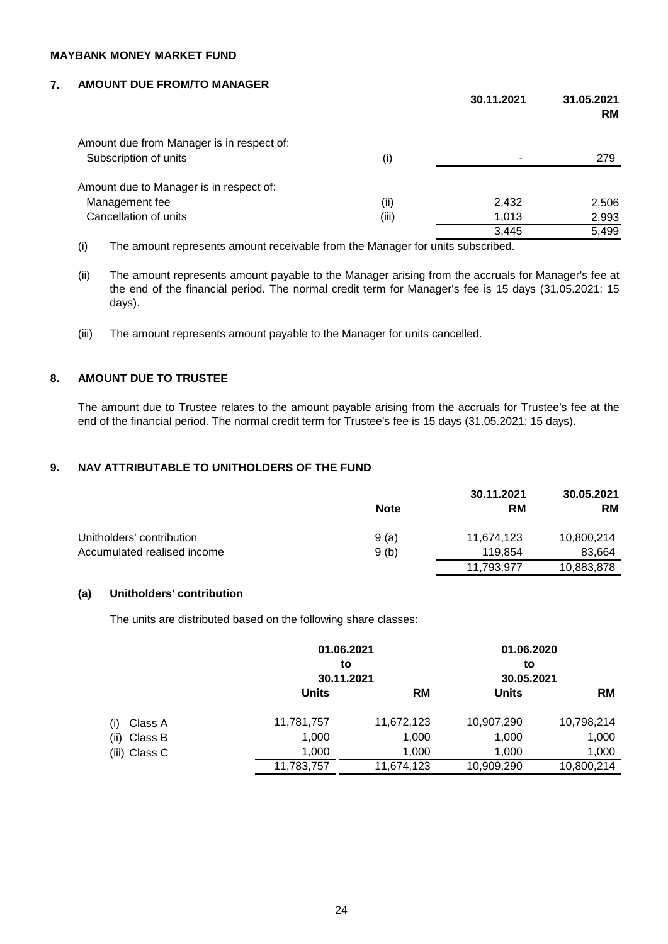# **7. AMOUNT DUE FROM/TO MANAGER**

|                                           |       | 30.11.2021 | 31.05.2021<br>RM |
|-------------------------------------------|-------|------------|------------------|
| Amount due from Manager is in respect of: |       |            |                  |
| Subscription of units                     | (i)   |            | 279              |
| Amount due to Manager is in respect of:   |       |            |                  |
| Management fee                            | (i)   | 2,432      | 2,506            |
| Cancellation of units                     | (iii) | 1,013      | 2,993            |
|                                           |       | 3,445      | 5,499            |
|                                           |       |            |                  |

(i) The amount represents amount receivable from the Manager for units subscribed.

- (ii) The amount represents amount payable to the Manager arising from the accruals for Manager's fee at the end of the financial period. The normal credit term for Manager's fee is 15 days (31.05.2021: 15 days).
- (iii) The amount represents amount payable to the Manager for units cancelled.

# **8. AMOUNT DUE TO TRUSTEE**

The amount due to Trustee relates to the amount payable arising from the accruals for Trustee's fee at the end of the financial period. The normal credit term for Trustee's fee is 15 days (31.05.2021: 15 days).

# **9. NAV ATTRIBUTABLE TO UNITHOLDERS OF THE FUND**

|                             |             | 30.11.2021 | 30.05.2021 |
|-----------------------------|-------------|------------|------------|
|                             | <b>Note</b> | <b>RM</b>  | <b>RM</b>  |
| Unitholders' contribution   | 9(a)        | 11,674,123 | 10,800,214 |
| Accumulated realised income | 9(b)        | 119.854    | 83,664     |
|                             |             | 11.793.977 | 10,883,878 |

# **(a) Unitholders' contribution**

The units are distributed based on the following share classes:

|                 |              | 01.06.2021<br>to<br>30.11.2021 |              | 01.06.2020<br>30.05.2021 |
|-----------------|--------------|--------------------------------|--------------|--------------------------|
|                 | <b>Units</b> | <b>RM</b>                      | <b>Units</b> | <b>RM</b>                |
| Class A<br>(i)  | 11,781,757   | 11,672,123                     | 10,907,290   | 10,798,214               |
| Class B<br>(ii) | 1,000        | 1,000                          | 1,000        | 1,000                    |
| (iii) Class C   | 1,000        | 1,000                          | 1,000        | 1,000                    |
|                 | 11,783,757   | 11,674,123                     | 10,909,290   | 10,800,214               |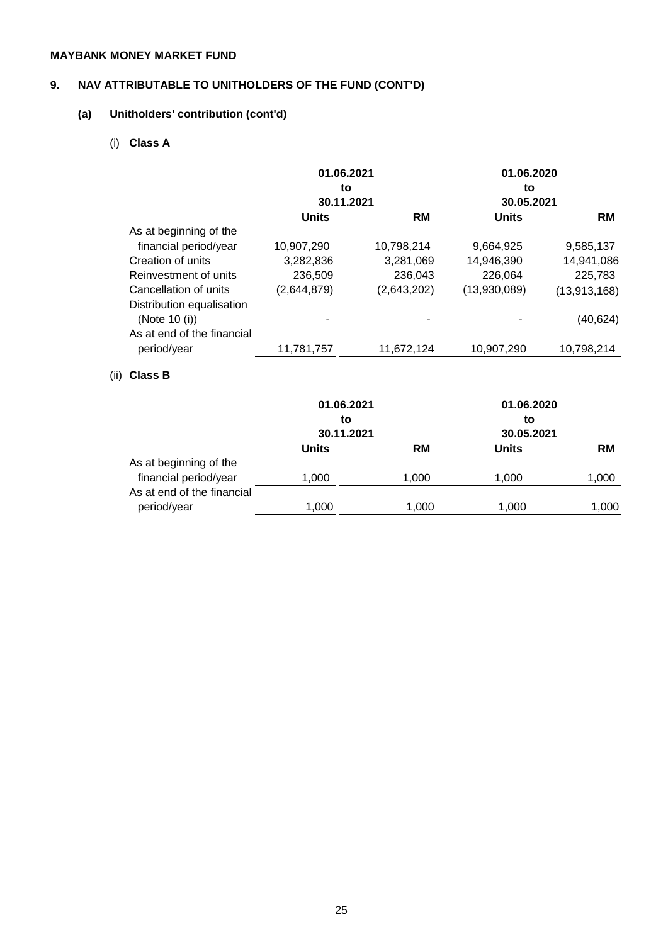# **9. NAV ATTRIBUTABLE TO UNITHOLDERS OF THE FUND (CONT'D)**

# **(a) Unitholders' contribution (cont'd)**

# (i) **Class A**

|                            | 01.06.2021   |             | 01.06.2020   |              |
|----------------------------|--------------|-------------|--------------|--------------|
|                            | to           |             | to           |              |
|                            | 30.11.2021   |             | 30.05.2021   |              |
|                            | <b>Units</b> | <b>RM</b>   | <b>Units</b> | <b>RM</b>    |
| As at beginning of the     |              |             |              |              |
| financial period/year      | 10,907,290   | 10,798,214  | 9,664,925    | 9,585,137    |
| Creation of units          | 3,282,836    | 3,281,069   | 14,946,390   | 14,941,086   |
| Reinvestment of units      | 236,509      | 236,043     | 226,064      | 225,783      |
| Cancellation of units      | (2,644,879)  | (2,643,202) | (13,930,089) | (13,913,168) |
| Distribution equalisation  |              |             |              |              |
| (Note 10 (i))              |              |             |              | (40,624)     |
| As at end of the financial |              |             |              |              |
| period/year                | 11,781,757   | 11,672,124  | 10,907,290   | 10,798,214   |
|                            |              |             |              |              |

# (ii) **Class B**

|                            |              | 01.06.2021<br>to<br>30.11.2021 |              | 01.06.2020<br>to<br>30.05.2021 |
|----------------------------|--------------|--------------------------------|--------------|--------------------------------|
|                            | <b>Units</b> | <b>RM</b>                      | <b>Units</b> | <b>RM</b>                      |
| As at beginning of the     |              |                                |              |                                |
| financial period/year      | 1,000        | 1,000                          | 1,000        | 1,000                          |
| As at end of the financial |              |                                |              |                                |
| period/year                | 1.000        | 1,000                          | 1,000        | 1,000                          |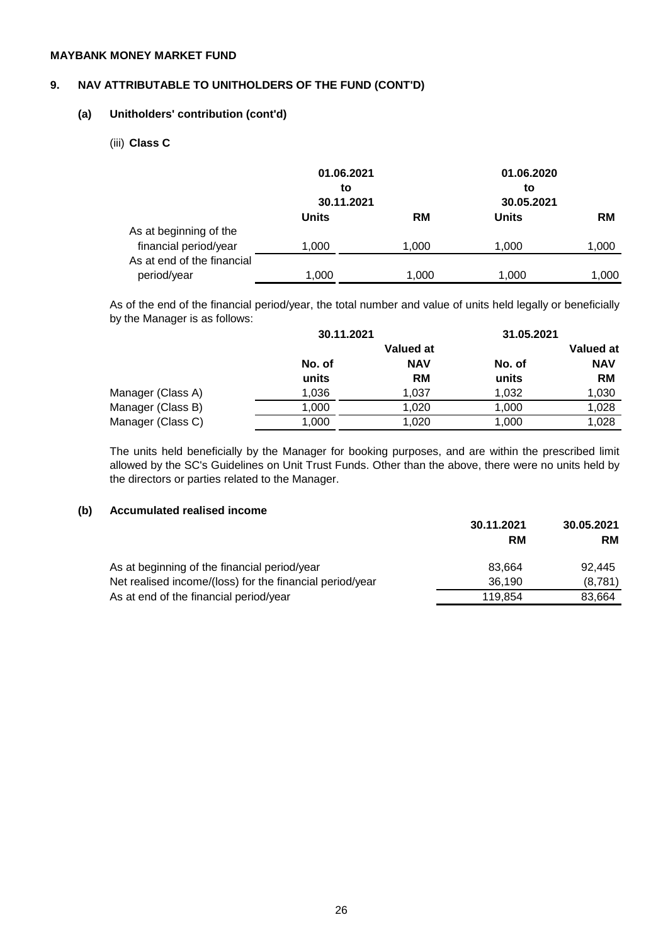# **9. NAV ATTRIBUTABLE TO UNITHOLDERS OF THE FUND (CONT'D)**

### **(a) Unitholders' contribution (cont'd)**

(iii) **Class C**

|                            |              | 01.06.2021<br>to | 01.06.2020<br>to |           |
|----------------------------|--------------|------------------|------------------|-----------|
|                            |              | 30.11.2021       | 30.05.2021       |           |
|                            | <b>Units</b> | <b>RM</b>        | <b>Units</b>     | <b>RM</b> |
| As at beginning of the     |              |                  |                  |           |
| financial period/year      | 1,000        | 1,000            | 1,000            | 1,000     |
| As at end of the financial |              |                  |                  |           |
| period/year                | 1.000        | 1,000            | 1,000            | 1,000     |

As of the end of the financial period/year, the total number and value of units held legally or beneficially by the Manager is as follows:

|        |            | 31.05.2021 |            |  |
|--------|------------|------------|------------|--|
|        | Valued at  |            | Valued at  |  |
| No. of | <b>NAV</b> | No. of     | <b>NAV</b> |  |
| units  | <b>RM</b>  | units      | <b>RM</b>  |  |
| 1,036  | 1.037      | 1,032      | 1,030      |  |
| 1,000  | 1,020      | 1,000      | 1,028      |  |
| 1,000  | 1,020      | 1,000      | 1,028      |  |
|        |            | 30.11.2021 |            |  |

The units held beneficially by the Manager for booking purposes, and are within the prescribed limit allowed by the SC's Guidelines on Unit Trust Funds. Other than the above, there were no units held by the directors or parties related to the Manager.

# **(b) Accumulated realised income**

|                                                          | 30.11.2021 | 30.05.2021 |
|----------------------------------------------------------|------------|------------|
|                                                          | RM         | <b>RM</b>  |
| As at beginning of the financial period/year             | 83.664     | 92.445     |
| Net realised income/(loss) for the financial period/year | 36,190     | (8,781)    |
| As at end of the financial period/year                   | 119.854    | 83.664     |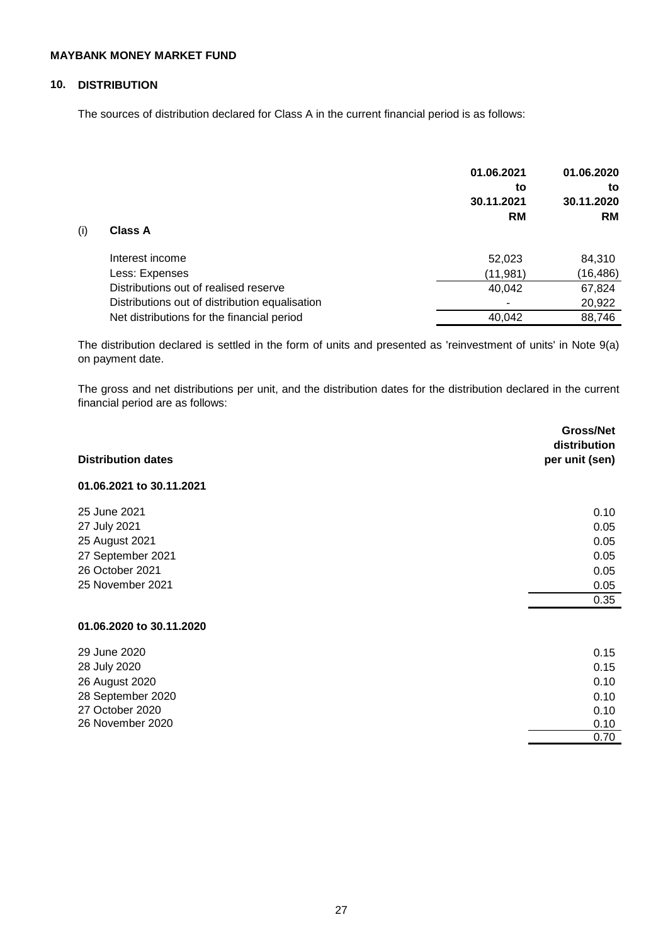# **10. DISTRIBUTION**

The sources of distribution declared for Class A in the current financial period is as follows:

|     |                                                | 01.06.2021<br>to<br>30.11.2021<br><b>RM</b> | 01.06.2020<br>to<br>30.11.2020<br><b>RM</b> |
|-----|------------------------------------------------|---------------------------------------------|---------------------------------------------|
| (i) | <b>Class A</b>                                 |                                             |                                             |
|     | Interest income                                | 52,023                                      | 84,310                                      |
|     | Less: Expenses                                 | (11,981)                                    | (16, 486)                                   |
|     | Distributions out of realised reserve          | 40,042                                      | 67,824                                      |
|     | Distributions out of distribution equalisation |                                             | 20,922                                      |
|     | Net distributions for the financial period     | 40.042                                      | 88,746                                      |

The distribution declared is settled in the form of units and presented as 'reinvestment of units' in Note 9(a) on payment date.

The gross and net distributions per unit, and the distribution dates for the distribution declared in the current financial period are as follows:

| <b>Distribution dates</b> | Gross/Net<br>distribution<br>per unit (sen) |
|---------------------------|---------------------------------------------|
| 01.06.2021 to 30.11.2021  |                                             |
| 25 June 2021              | 0.10                                        |
| 27 July 2021              | 0.05                                        |
| 25 August 2021            | 0.05                                        |
| 27 September 2021         | 0.05                                        |
| 26 October 2021           | 0.05                                        |
| 25 November 2021          | 0.05                                        |
|                           | 0.35                                        |
| 01.06.2020 to 30.11.2020  |                                             |
| 29 June 2020              | 0.15                                        |
| 28 July 2020              | 0.15                                        |
| 26 August 2020            | 0.10                                        |
| 28 September 2020         | 0.10                                        |
| 27 October 2020           | 0.10                                        |
| 26 November 2020          | 0.10                                        |
|                           | 0.70                                        |
|                           |                                             |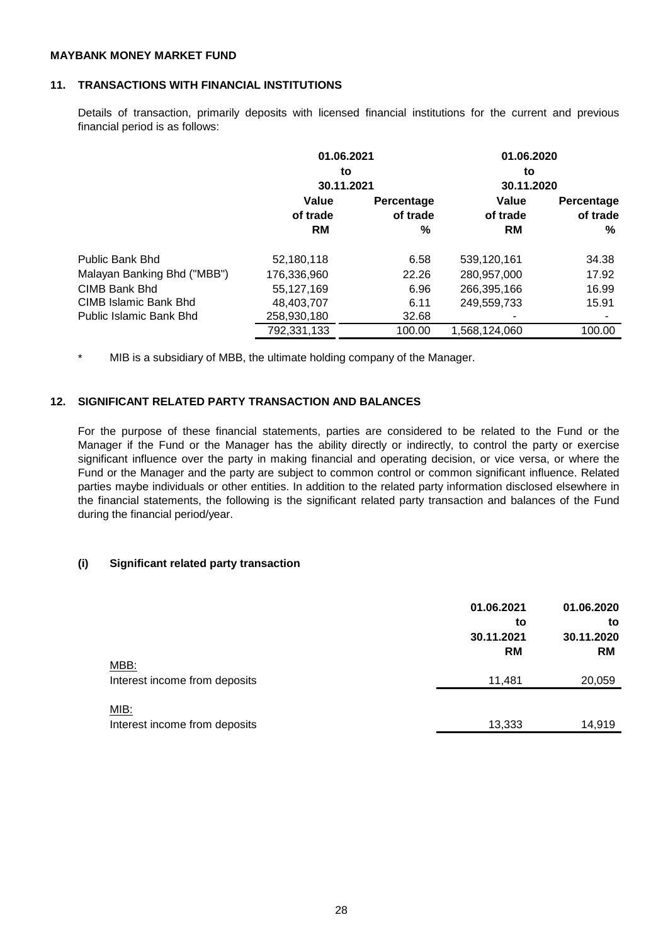### **11. TRANSACTIONS WITH FINANCIAL INSTITUTIONS**

Details of transaction, primarily deposits with licensed financial institutions for the current and previous financial period is as follows:

| 01.06.2021  |            | 01.06.2020       |            |  |
|-------------|------------|------------------|------------|--|
|             |            | to               | 30.11.2020 |  |
|             |            |                  |            |  |
| Value       | Percentage | Value            | Percentage |  |
| of trade    | of trade   | of trade         | of trade   |  |
| <b>RM</b>   | %          | <b>RM</b>        | %          |  |
| 52,180,118  | 6.58       | 539,120,161      | 34.38      |  |
| 176,336,960 | 22.26      | 280,957,000      | 17.92      |  |
| 55.127.169  | 6.96       | 266,395,166      | 16.99      |  |
| 48,403,707  | 6.11       | 249,559,733      | 15.91      |  |
| 258,930,180 | 32.68      |                  |            |  |
| 792,331,133 | 100.00     | 1,568,124,060    | 100.00     |  |
|             |            | to<br>30.11.2021 |            |  |

\* MIB is a subsidiary of MBB, the ultimate holding company of the Manager.

# **12. SIGNIFICANT RELATED PARTY TRANSACTION AND BALANCES**

For the purpose of these financial statements, parties are considered to be related to the Fund or the Manager if the Fund or the Manager has the ability directly or indirectly, to control the party or exercise significant influence over the party in making financial and operating decision, or vice versa, or where the Fund or the Manager and the party are subject to common control or common significant influence. Related parties maybe individuals or other entities. In addition to the related party information disclosed elsewhere in the financial statements, the following is the significant related party transaction and balances of the Fund during the financial period/year.

# **(i) Significant related party transaction**

|                                       | 01.06.2021<br>to<br>30.11.2021<br><b>RM</b> | 01.06.2020<br>to<br>30.11.2020<br><b>RM</b> |
|---------------------------------------|---------------------------------------------|---------------------------------------------|
| MBB:<br>Interest income from deposits | 11,481                                      | 20,059                                      |
| MIB:<br>Interest income from deposits | 13,333                                      | 14,919                                      |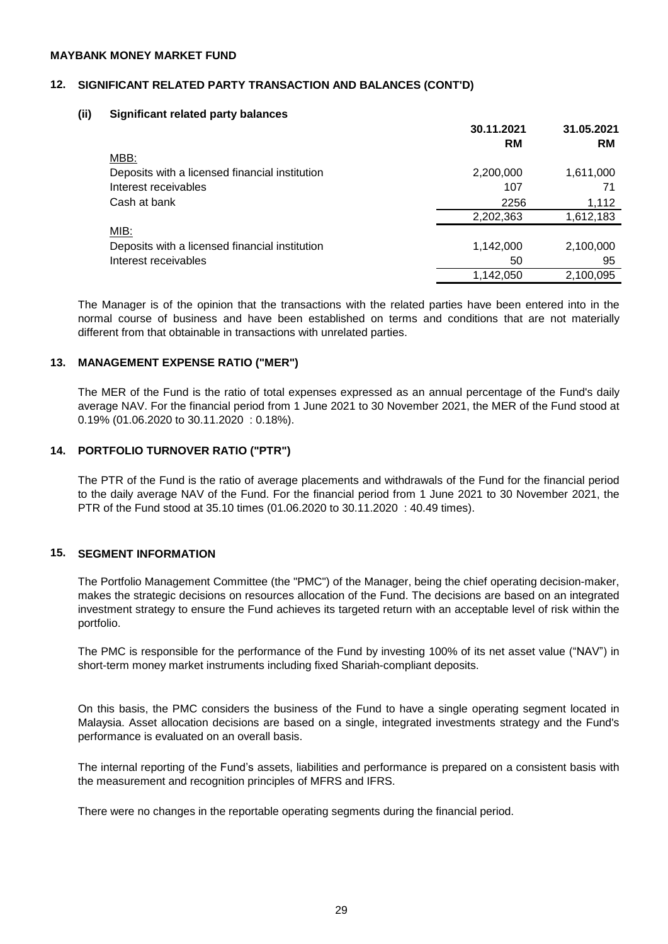### **12. SIGNIFICANT RELATED PARTY TRANSACTION AND BALANCES (CONT'D)**

### **(ii) Significant related party balances**

|                                                | 30.11.2021<br>RM | 31.05.2021<br><b>RM</b> |
|------------------------------------------------|------------------|-------------------------|
| MBB:                                           |                  |                         |
| Deposits with a licensed financial institution | 2,200,000        | 1,611,000               |
| Interest receivables                           | 107              | 71                      |
| Cash at bank                                   | 2256             | 1,112                   |
|                                                | 2,202,363        | 1,612,183               |
| MIB:                                           |                  |                         |
| Deposits with a licensed financial institution | 1,142,000        | 2,100,000               |
| Interest receivables                           | 50               | 95                      |
|                                                | 1,142,050        | 2,100,095               |

The Manager is of the opinion that the transactions with the related parties have been entered into in the normal course of business and have been established on terms and conditions that are not materially different from that obtainable in transactions with unrelated parties.

### **13. MANAGEMENT EXPENSE RATIO ("MER")**

The MER of the Fund is the ratio of total expenses expressed as an annual percentage of the Fund's daily average NAV. For the financial period from 1 June 2021 to 30 November 2021, the MER of the Fund stood at 0.19% (01.06.2020 to 30.11.2020 : 0.18%).

# **14. PORTFOLIO TURNOVER RATIO ("PTR")**

The PTR of the Fund is the ratio of average placements and withdrawals of the Fund for the financial period to the daily average NAV of the Fund. For the financial period from 1 June 2021 to 30 November 2021, the PTR of the Fund stood at 35.10 times (01.06.2020 to 30.11.2020 : 40.49 times).

# **15. SEGMENT INFORMATION**

The Portfolio Management Committee (the "PMC") of the Manager, being the chief operating decision-maker, makes the strategic decisions on resources allocation of the Fund. The decisions are based on an integrated investment strategy to ensure the Fund achieves its targeted return with an acceptable level of risk within the portfolio.

The PMC is responsible for the performance of the Fund by investing 100% of its net asset value ("NAV") in short-term money market instruments including fixed Shariah-compliant deposits.

On this basis, the PMC considers the business of the Fund to have a single operating segment located in Malaysia. Asset allocation decisions are based on a single, integrated investments strategy and the Fund's performance is evaluated on an overall basis.

The internal reporting of the Fund's assets, liabilities and performance is prepared on a consistent basis with the measurement and recognition principles of MFRS and IFRS.

There were no changes in the reportable operating segments during the financial period.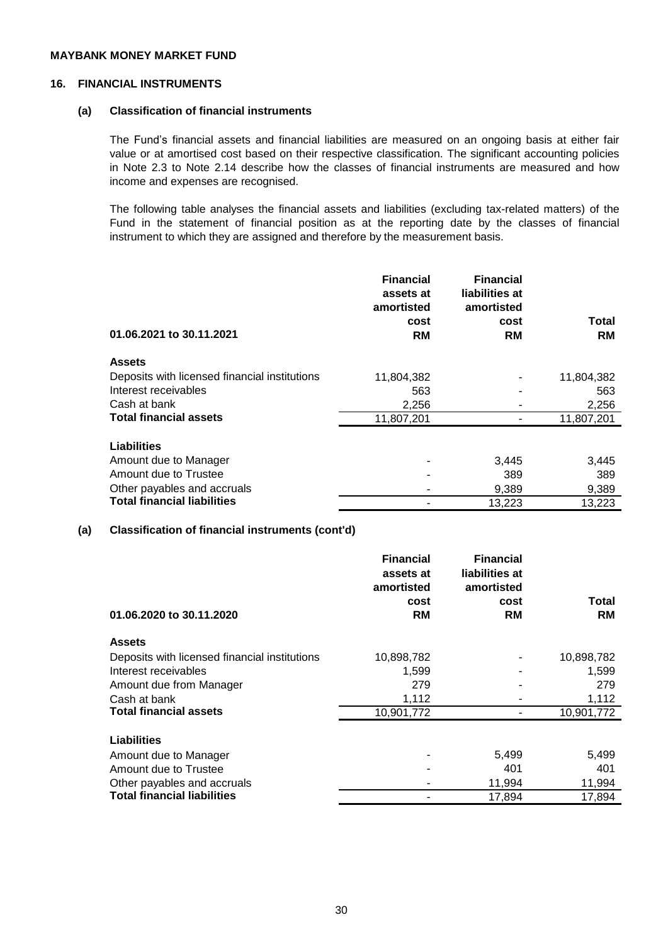# **16. FINANCIAL INSTRUMENTS**

### **(a) Classification of financial instruments**

The Fund's financial assets and financial liabilities are measured on an ongoing basis at either fair value or at amortised cost based on their respective classification. The significant accounting policies in Note 2.3 to Note 2.14 describe how the classes of financial instruments are measured and how income and expenses are recognised.

The following table analyses the financial assets and liabilities (excluding tax-related matters) of the Fund in the statement of financial position as at the reporting date by the classes of financial instrument to which they are assigned and therefore by the measurement basis.

| 01.06.2021 to 30.11.2021                      | <b>Financial</b><br>assets at<br>amortisted<br>cost<br><b>RM</b> | <b>Financial</b><br>liabilities at<br>amortisted<br>cost<br>RM | Total<br><b>RM</b> |
|-----------------------------------------------|------------------------------------------------------------------|----------------------------------------------------------------|--------------------|
| <b>Assets</b>                                 |                                                                  |                                                                |                    |
| Deposits with licensed financial institutions | 11,804,382                                                       |                                                                | 11,804,382         |
| Interest receivables                          | 563                                                              |                                                                | 563                |
| Cash at bank                                  | 2,256                                                            |                                                                | 2,256              |
| <b>Total financial assets</b>                 | 11,807,201                                                       |                                                                | 11,807,201         |
| <b>Liabilities</b>                            |                                                                  |                                                                |                    |
| Amount due to Manager                         |                                                                  | 3,445                                                          | 3,445              |
| Amount due to Trustee                         |                                                                  | 389                                                            | 389                |
| Other payables and accruals                   |                                                                  | 9,389                                                          | 9,389              |
| <b>Total financial liabilities</b>            |                                                                  | 13,223                                                         | 13,223             |

# **(a) Classification of financial instruments (cont'd)**

|                                               | <b>Financial</b><br>assets at | <b>Financial</b><br>liabilities at |            |
|-----------------------------------------------|-------------------------------|------------------------------------|------------|
|                                               | amortisted                    | amortisted                         |            |
|                                               | cost                          | cost                               | Total      |
| 01.06.2020 to 30.11.2020                      | <b>RM</b>                     | RM                                 | <b>RM</b>  |
| <b>Assets</b>                                 |                               |                                    |            |
| Deposits with licensed financial institutions | 10,898,782                    |                                    | 10,898,782 |
| Interest receivables                          | 1,599                         |                                    | 1,599      |
| Amount due from Manager                       | 279                           |                                    | 279        |
| Cash at bank                                  | 1,112                         |                                    | 1,112      |
| <b>Total financial assets</b>                 | 10,901,772                    |                                    | 10,901,772 |
| Liabilities                                   |                               |                                    |            |
| Amount due to Manager                         |                               | 5,499                              | 5,499      |
| Amount due to Trustee                         |                               | 401                                | 401        |
| Other payables and accruals                   |                               | 11,994                             | 11,994     |
| <b>Total financial liabilities</b>            |                               | 17,894                             | 17,894     |